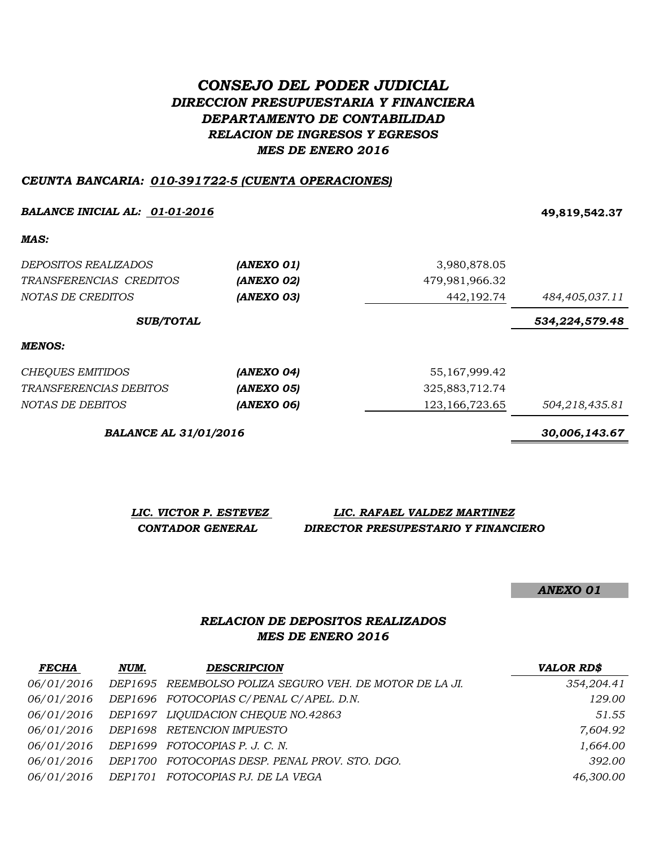# *CONSEJO DEL PODER JUDICIAL DIRECCION PRESUPUESTARIA Y FINANCIERA DEPARTAMENTO DE CONTABILIDAD RELACION DE INGRESOS Y EGRESOS MES DE ENERO 2016*

#### *CEUNTA BANCARIA: 010-391722-5 (CUENTA OPERACIONES)*

#### *BALANCE INICIAL AL: 01-01-2016* **49,819,542.37**

*MAS:*

| <i>DEPOSITOS REALIZADOS</i> | (ANEXO 01) | 3,980,878.05      |                |
|-----------------------------|------------|-------------------|----------------|
| TRANSFERENCIAS CREDITOS     | (ANEXO 02) | 479,981,966.32    |                |
| NOTAS DE CREDITOS           | (ANEXO 03) | 442,192.74        | 484,405,037.11 |
| <b>SUB/TOTAL</b>            |            |                   | 534,224,579.48 |
| <b>MENOS:</b>               |            |                   |                |
| CHEQUES EMITIDOS            | (ANEXO 04) | 55, 167, 999. 42  |                |
| TRANSFERENCIAS DEBITOS      | (ANEXO 05) | 325,883,712.74    |                |
| NOTAS DE DEBITOS            | (ANEXO 06) | 123, 166, 723. 65 | 504,218,435.81 |

*BALANCE AL 31/01/2016 30,006,143.67*

| LIC. VICTOR P. ESTEVEZ | LIC. RAFAEL VALDEZ MARTINEZ         |
|------------------------|-------------------------------------|
| CONTADOR GENERAL       | DIRECTOR PRESUPESTARIO Y FINANCIERO |

*ANEXO 01*

## *RELACION DE DEPOSITOS REALIZADOS MES DE ENERO 2016*

| <b>FECHA</b> | NUM. | <b>DESCRIPCION</b>                                      | <b>VALOR RD\$</b> |
|--------------|------|---------------------------------------------------------|-------------------|
| 06/01/2016   |      | DEP1695 REEMBOLSO POLIZA SEGURO VEH. DE MOTOR DE LA JI. | 354,204.41        |
| 06/01/2016   |      | DEP1696 FOTOCOPIAS C/PENAL C/APEL. D.N.                 | 129.00            |
| 06/01/2016   |      | DEP1697 LIQUIDACION CHEQUE NO.42863                     | 51.55             |
|              |      | 06/01/2016 DEP1698 RETENCION IMPUESTO                   | 7,604.92          |
| 06/01/2016   |      | DEP1699 FOTOCOPIAS P. J. C. N.                          | 1,664.00          |
| 06/01/2016   |      | DEP1700 FOTOCOPIAS DESP. PENAL PROV. STO. DGO.          | 392.00            |
|              |      | 06/01/2016 DEP1701 FOTOCOPIAS PJ. DE LA VEGA            | 46,300.00         |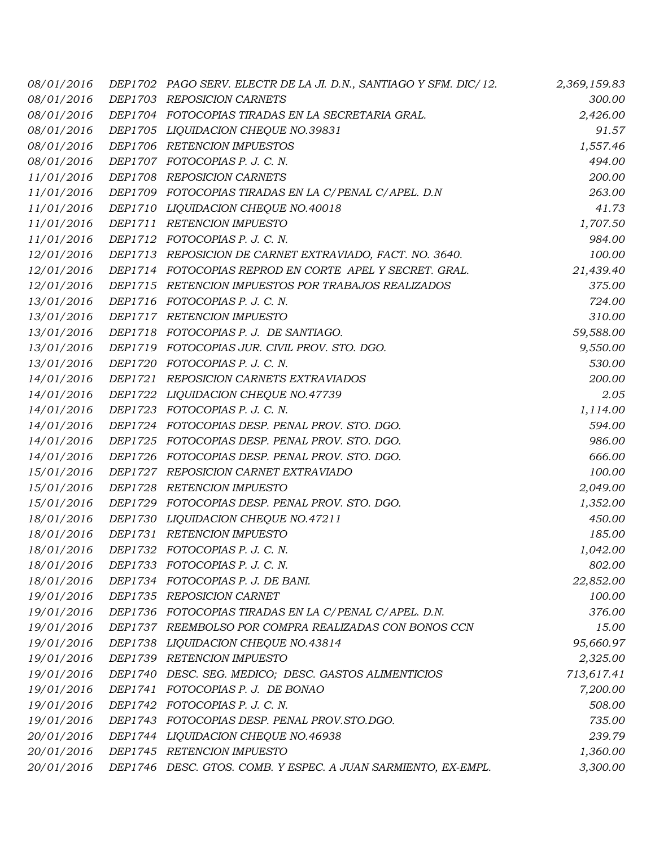| 08/01/2016 |         | DEP1702 PAGO SERV. ELECTR DE LA JI. D.N., SANTIAGO Y SFM. DIC/12. | 2,369,159.83 |
|------------|---------|-------------------------------------------------------------------|--------------|
| 08/01/2016 |         | DEP1703 REPOSICION CARNETS                                        | 300.00       |
| 08/01/2016 |         | DEP1704 FOTOCOPIAS TIRADAS EN LA SECRETARIA GRAL.                 | 2,426.00     |
| 08/01/2016 |         | DEP1705 LIQUIDACION CHEQUE NO.39831                               | 91.57        |
| 08/01/2016 |         | DEP1706 RETENCION IMPUESTOS                                       | 1,557.46     |
| 08/01/2016 |         | DEP1707 FOTOCOPIAS P. J. C. N.                                    | 494.00       |
| 11/01/2016 |         | DEP1708 REPOSICION CARNETS                                        | 200.00       |
| 11/01/2016 |         | DEP1709 FOTOCOPIAS TIRADAS EN LA C/PENAL C/APEL. D.N              | 263.00       |
| 11/01/2016 |         | DEP1710 LIQUIDACION CHEQUE NO.40018                               | 41.73        |
| 11/01/2016 |         | DEP1711 RETENCION IMPUESTO                                        | 1,707.50     |
| 11/01/2016 |         | DEP1712 FOTOCOPIAS P. J. C. N.                                    | 984.00       |
| 12/01/2016 |         | DEP1713 REPOSICION DE CARNET EXTRAVIADO, FACT. NO. 3640.          | 100.00       |
| 12/01/2016 |         | DEP1714 FOTOCOPIAS REPROD EN CORTE APEL Y SECRET. GRAL.           | 21,439.40    |
| 12/01/2016 |         | DEP1715 RETENCION IMPUESTOS POR TRABAJOS REALIZADOS               | 375.00       |
| 13/01/2016 | DEP1716 | FOTOCOPIAS P. J. C. N.                                            | 724.00       |
| 13/01/2016 |         | DEP1717 RETENCION IMPUESTO                                        | 310.00       |
| 13/01/2016 |         | DEP1718 FOTOCOPIAS P. J. DE SANTIAGO.                             | 59,588.00    |
| 13/01/2016 |         | DEP1719 FOTOCOPIAS JUR. CIVIL PROV. STO. DGO.                     | 9,550.00     |
| 13/01/2016 |         | DEP1720 FOTOCOPIAS P. J. C. N.                                    | 530.00       |
| 14/01/2016 |         | DEP1721 REPOSICION CARNETS EXTRAVIADOS                            | 200.00       |
| 14/01/2016 |         | DEP1722 LIQUIDACION CHEQUE NO.47739                               | 2.05         |
| 14/01/2016 |         | DEP1723 FOTOCOPIAS P. J. C. N.                                    | 1,114.00     |
| 14/01/2016 |         | DEP1724 FOTOCOPIAS DESP. PENAL PROV. STO. DGO.                    | 594.00       |
| 14/01/2016 |         | DEP1725 FOTOCOPIAS DESP. PENAL PROV. STO. DGO.                    | 986.00       |
| 14/01/2016 |         | DEP1726 FOTOCOPIAS DESP. PENAL PROV. STO. DGO.                    | 666.00       |
| 15/01/2016 |         | DEP1727 REPOSICION CARNET EXTRAVIADO                              | 100.00       |
| 15/01/2016 | DEP1728 | <b>RETENCION IMPUESTO</b>                                         | 2,049.00     |
| 15/01/2016 |         | DEP1729 FOTOCOPIAS DESP. PENAL PROV. STO. DGO.                    | 1,352.00     |
| 18/01/2016 |         | DEP1730 LIQUIDACION CHEQUE NO.47211                               | 450.00       |
| 18/01/2016 |         | DEP1731 RETENCION IMPUESTO                                        | 185.00       |
| 18/01/2016 |         | DEP1732 FOTOCOPIAS P. J. C. N.                                    | 1,042.00     |
| 18/01/2016 |         | DEP1733 FOTOCOPIAS P. J. C. N.                                    | 802.00       |
| 18/01/2016 |         | DEP1734 FOTOCOPIAS P. J. DE BANI.                                 | 22,852.00    |
| 19/01/2016 |         | DEP1735 REPOSICION CARNET                                         | 100.00       |
| 19/01/2016 |         | DEP1736 FOTOCOPIAS TIRADAS EN LA C/PENAL C/APEL. D.N.             | 376.00       |
| 19/01/2016 |         | DEP1737 REEMBOLSO POR COMPRA REALIZADAS CON BONOS CCN             | 15.00        |
| 19/01/2016 |         | DEP1738 LIQUIDACION CHEQUE NO.43814                               | 95,660.97    |
| 19/01/2016 |         | DEP1739 RETENCION IMPUESTO                                        | 2,325.00     |
| 19/01/2016 |         | DEP1740 DESC. SEG. MEDICO; DESC. GASTOS ALIMENTICIOS              | 713,617.41   |
| 19/01/2016 |         | DEP1741 FOTOCOPIAS P. J. DE BONAO                                 | 7,200.00     |
| 19/01/2016 |         | DEP1742 FOTOCOPIAS P. J. C. N.                                    | 508.00       |
| 19/01/2016 |         | DEP1743 FOTOCOPIAS DESP. PENAL PROV.STO.DGO.                      | 735.00       |
| 20/01/2016 |         | DEP1744 LIQUIDACION CHEQUE NO.46938                               | 239.79       |
| 20/01/2016 |         | DEP1745 RETENCION IMPUESTO                                        | 1,360.00     |
| 20/01/2016 |         | DEP1746 DESC. GTOS. COMB. Y ESPEC. A JUAN SARMIENTO, EX-EMPL.     | 3,300.00     |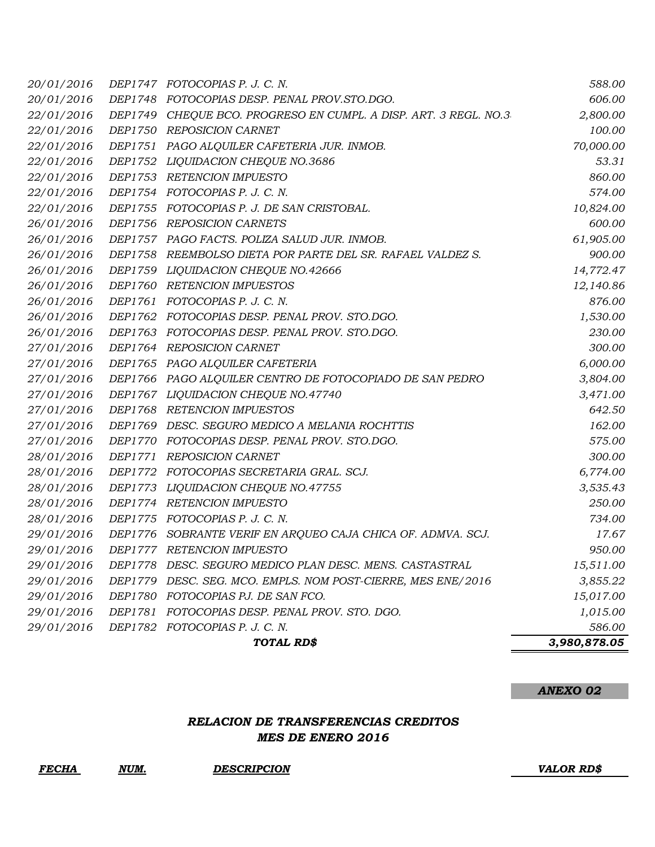| 20/01/2016 |                | DEP1747 FOTOCOPIAS P. J. C. N.                               | 588.00       |
|------------|----------------|--------------------------------------------------------------|--------------|
| 20/01/2016 |                | DEP1748 FOTOCOPIAS DESP. PENAL PROV.STO.DGO.                 | 606.00       |
| 22/01/2016 | DEP1749        | CHEQUE BCO. PROGRESO EN CUMPL. A DISP. ART. 3 REGL. NO.3     | 2,800.00     |
| 22/01/2016 |                | DEP1750 REPOSICION CARNET                                    | 100.00       |
| 22/01/2016 |                | DEP1751 PAGO ALQUILER CAFETERIA JUR. INMOB.                  | 70,000.00    |
| 22/01/2016 | DEP1752        | LIQUIDACION CHEQUE NO.3686                                   | 53.31        |
| 22/01/2016 |                | DEP1753 RETENCION IMPUESTO                                   | 860.00       |
| 22/01/2016 |                | DEP1754 FOTOCOPIAS P. J. C. N.                               | 574.00       |
| 22/01/2016 |                | DEP1755 FOTOCOPIAS P. J. DE SAN CRISTOBAL.                   | 10,824.00    |
| 26/01/2016 | DEP1756        | REPOSICION CARNETS                                           | 600.00       |
| 26/01/2016 |                | DEP1757 PAGO FACTS. POLIZA SALUD JUR. INMOB.                 | 61,905.00    |
| 26/01/2016 |                | DEP1758 REEMBOLSO DIETA POR PARTE DEL SR. RAFAEL VALDEZ S.   | 900.00       |
| 26/01/2016 |                | DEP1759 LIQUIDACION CHEQUE NO.42666                          | 14,772.47    |
| 26/01/2016 |                | DEP1760 RETENCION IMPUESTOS                                  | 12,140.86    |
| 26/01/2016 |                | DEP1761 FOTOCOPIAS P. J. C. N.                               | 876.00       |
| 26/01/2016 |                | DEP1762 FOTOCOPIAS DESP. PENAL PROV. STO.DGO.                | 1,530.00     |
| 26/01/2016 |                | DEP1763 FOTOCOPIAS DESP. PENAL PROV. STO.DGO.                | 230.00       |
| 27/01/2016 |                | DEP1764 REPOSICION CARNET                                    | 300.00       |
| 27/01/2016 |                | DEP1765 PAGO ALQUILER CAFETERIA                              | 6,000.00     |
| 27/01/2016 |                | DEP1766 PAGO ALQUILER CENTRO DE FOTOCOPIADO DE SAN PEDRO     | 3,804.00     |
| 27/01/2016 |                | DEP1767 LIQUIDACION CHEQUE NO.47740                          | 3,471.00     |
| 27/01/2016 | DEP1768        | <b>RETENCION IMPUESTOS</b>                                   | 642.50       |
| 27/01/2016 |                | DEP1769 DESC. SEGURO MEDICO A MELANIA ROCHTTIS               | 162.00       |
| 27/01/2016 |                | DEP1770 FOTOCOPIAS DESP. PENAL PROV. STO.DGO.                | 575.00       |
| 28/01/2016 | DEP1771        | REPOSICION CARNET                                            | 300.00       |
| 28/01/2016 |                | DEP1772 FOTOCOPIAS SECRETARIA GRAL. SCJ.                     | 6,774.00     |
| 28/01/2016 |                | DEP1773 LIQUIDACION CHEQUE NO.47755                          | 3,535.43     |
| 28/01/2016 |                | DEP1774 RETENCION IMPUESTO                                   | 250.00       |
| 28/01/2016 | <i>DEP1775</i> | FOTOCOPIAS P. J. C. N.                                       | 734.00       |
| 29/01/2016 | DEP1776        | SOBRANTE VERIF EN ARQUEO CAJA CHICA OF. ADMVA. SCJ.          | 17.67        |
| 29/01/2016 |                | DEP1777 RETENCION IMPUESTO                                   | 950.00       |
| 29/01/2016 |                | DEP1778 DESC. SEGURO MEDICO PLAN DESC. MENS. CASTASTRAL      | 15,511.00    |
| 29/01/2016 |                | DEP1779 DESC. SEG. MCO. EMPLS. NOM POST-CIERRE, MES ENE/2016 | 3,855.22     |
| 29/01/2016 | <i>DEP1780</i> | FOTOCOPIAS PJ. DE SAN FCO.                                   | 15,017.00    |
| 29/01/2016 | DEP1781        | FOTOCOPIAS DESP. PENAL PROV. STO. DGO.                       | 1,015.00     |
| 29/01/2016 |                | DEP1782 FOTOCOPIAS P. J. C. N.                               | 586.00       |
|            |                | TOTAL RD\$                                                   | 3,980,878.05 |

# *MES DE ENERO 2016 RELACION DE TRANSFERENCIAS CREDITOS*

*FECHA NUM. DESCRIPCION VALOR RD\$*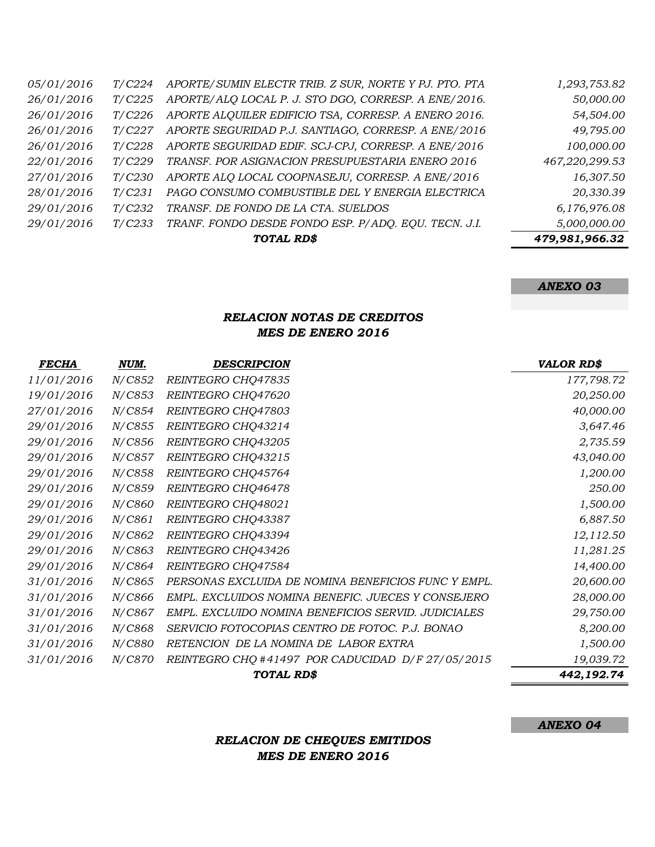|            |                | TOTAL RD\$                                            | 479,981,966.32 |
|------------|----------------|-------------------------------------------------------|----------------|
| 29/01/2016 | T/C233         | TRANF. FONDO DESDE FONDO ESP. P/ADQ. EQU. TECN. J.I.  | 5,000,000.00   |
| 29/01/2016 | T/C232         | TRANSF. DE FONDO DE LA CTA. SUELDOS                   | 6,176,976.08   |
| 28/01/2016 | T/C231         | PAGO CONSUMO COMBUSTIBLE DEL Y ENERGIA ELECTRICA      | 20,330.39      |
| 27/01/2016 | T/C230         | APORTE ALO LOCAL COOPNASEJU, CORRESP. A ENE/2016      | 16,307.50      |
| 22/01/2016 | T/C229         | TRANSF. POR ASIGNACION PRESUPUESTARIA ENERO 2016      | 467,220,299.53 |
| 26/01/2016 | T/C228         | APORTE SEGURIDAD EDIF. SCJ-CPJ, CORRESP. A ENE/2016   | 100,000.00     |
| 26/01/2016 | T/C227         | APORTE SEGURIDAD P.J. SANTIAGO, CORRESP. A ENE/2016   | 49,795.00      |
| 26/01/2016 | T/C226         | APORTE ALQUILER EDIFICIO TSA, CORRESP. A ENERO 2016.  | 54,504.00      |
| 26/01/2016 | T/C225         | APORTE/ALQ LOCAL P. J. STO DGO, CORRESP. A ENE/2016.  | 50,000.00      |
| 05/01/2016 | <i>T</i> /C224 | APORTE/SUMIN ELECTR TRIB. Z SUR, NORTE Y PJ. PTO. PTA | 1,293,753.82   |

### *RELACION NOTAS DE CREDITOS MES DE ENERO 2016*

| <b>FECHA</b> | NUM.           | <b>DESCRIPCION</b>                                  | <b>VALOR RD\$</b> |
|--------------|----------------|-----------------------------------------------------|-------------------|
| 11/01/2016   | <i>N/C852</i>  | REINTEGRO CHQ47835                                  | 177,798.72        |
| 19/01/2016   | N/C853         | REINTEGRO CHQ47620                                  | 20,250.00         |
| 27/01/2016   | N/C854         | REINTEGRO CHQ47803                                  | 40,000.00         |
| 29/01/2016   | N/C855         | REINTEGRO CHQ43214                                  | 3,647.46          |
| 29/01/2016   | N/C856         | REINTEGRO CHQ43205                                  | 2,735.59          |
| 29/01/2016   | N/C857         | REINTEGRO CHQ43215                                  | 43,040.00         |
| 29/01/2016   | N/C858         | REINTEGRO CHQ45764                                  | 1,200.00          |
| 29/01/2016   | N/C859         | REINTEGRO CHQ46478                                  | 250.00            |
| 29/01/2016   | N/C860         | REINTEGRO CHQ48021                                  | 1,500.00          |
| 29/01/2016   | N/C861         | REINTEGRO CHQ43387                                  | 6,887.50          |
| 29/01/2016   | N/C862         | REINTEGRO CHQ43394                                  | 12,112.50         |
| 29/01/2016   | N/C863         | REINTEGRO CHQ43426                                  | 11,281.25         |
| 29/01/2016   | <i>N</i> /C864 | REINTEGRO CHQ47584                                  | 14,400.00         |
| 31/01/2016   | N/C865         | PERSONAS EXCLUIDA DE NOMINA BENEFICIOS FUNC Y EMPL. | 20,600.00         |
| 31/01/2016   | N/C866         | EMPL. EXCLUIDOS NOMINA BENEFIC. JUECES Y CONSEJERO  | 28,000.00         |
| 31/01/2016   | N/C867         | EMPL. EXCLUIDO NOMINA BENEFICIOS SERVID. JUDICIALES | 29,750.00         |
| 31/01/2016   | N/C868         | SERVICIO FOTOCOPIAS CENTRO DE FOTOC. P.J. BONAO     | 8,200.00          |
| 31/01/2016   | N/C880         | RETENCION DE LA NOMINA DE LABOR EXTRA               | 1,500.00          |
| 31/01/2016   | <i>N/C870</i>  | REINTEGRO CHQ #41497 POR CADUCIDAD D/F 27/05/2015   | 19,039.72         |
|              |                | TOTAL RD\$                                          | 442,192.74        |

*ANEXO 04*

# *RELACION DE CHEQUES EMITIDOS MES DE ENERO 2016*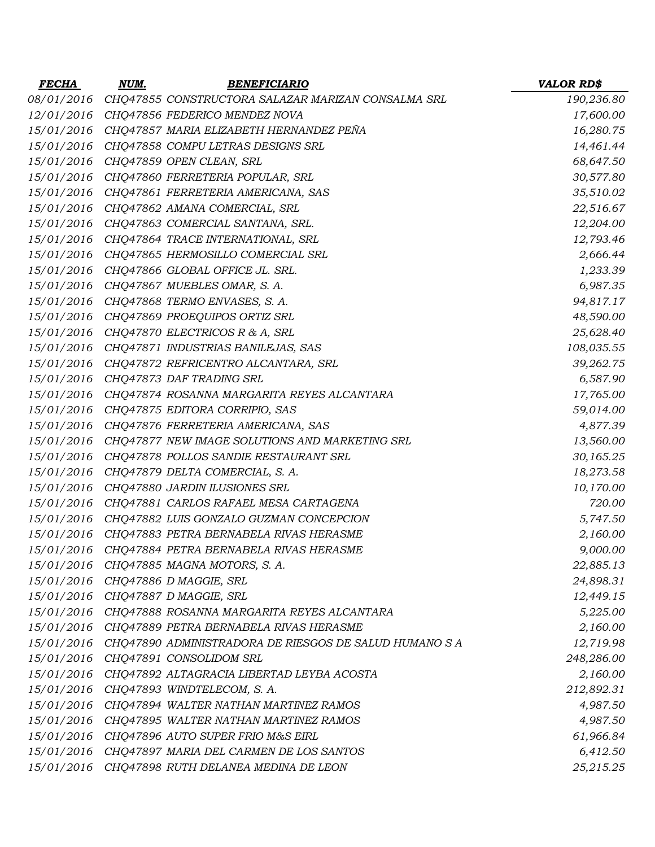| <b>FECHA</b> | NUM. | <b>BENEFICIARIO</b>                                       | <b>VALOR RD\$</b> |
|--------------|------|-----------------------------------------------------------|-------------------|
| 08/01/2016   |      | CHQ47855 CONSTRUCTORA SALAZAR MARIZAN CONSALMA SRL        | 190,236.80        |
| 12/01/2016   |      | CHQ47856 FEDERICO MENDEZ NOVA                             | 17,600.00         |
| 15/01/2016   |      | CHQ47857 MARIA ELIZABETH HERNANDEZ PEÑA                   | 16,280.75         |
|              |      | 15/01/2016 CHQ47858 COMPU LETRAS DESIGNS SRL              | 14,461.44         |
| 15/01/2016   |      | CHQ47859 OPEN CLEAN, SRL                                  | 68,647.50         |
|              |      | 15/01/2016 CHQ47860 FERRETERIA POPULAR, SRL               | 30,577.80         |
| 15/01/2016   |      | CHQ47861 FERRETERIA AMERICANA, SAS                        | 35,510.02         |
| 15/01/2016   |      | CHQ47862 AMANA COMERCIAL, SRL                             | 22,516.67         |
|              |      | 15/01/2016 CHQ47863 COMERCIAL SANTANA, SRL.               | 12,204.00         |
| 15/01/2016   |      | CHQ47864 TRACE INTERNATIONAL, SRL                         | 12,793.46         |
|              |      | 15/01/2016 CHQ47865 HERMOSILLO COMERCIAL SRL              | 2,666.44          |
| 15/01/2016   |      | CHQ47866 GLOBAL OFFICE JL. SRL.                           | 1,233.39          |
| 15/01/2016   |      | CHQ47867 MUEBLES OMAR, S. A.                              | 6,987.35          |
|              |      | 15/01/2016 CHQ47868 TERMO ENVASES, S. A.                  | 94,817.17         |
| 15/01/2016   |      | CHQ47869 PROEQUIPOS ORTIZ SRL                             | 48,590.00         |
|              |      | 15/01/2016 CHQ47870 ELECTRICOS R & A, SRL                 | 25,628.40         |
| 15/01/2016   |      | CHQ47871 INDUSTRIAS BANILEJAS, SAS                        | 108,035.55        |
|              |      | 15/01/2016 CHQ47872 REFRICENTRO ALCANTARA, SRL            | 39,262.75         |
| 15/01/2016   |      | CHQ47873 DAF TRADING SRL                                  | 6,587.90          |
| 15/01/2016   |      | CHQ47874 ROSANNA MARGARITA REYES ALCANTARA                | 17,765.00         |
| 15/01/2016   |      | CHQ47875 EDITORA CORRIPIO, SAS                            | 59,014.00         |
| 15/01/2016   |      | CHQ47876 FERRETERIA AMERICANA, SAS                        | 4,877.39          |
|              |      | 15/01/2016 CHQ47877 NEW IMAGE SOLUTIONS AND MARKETING SRL | 13,560.00         |
| 15/01/2016   |      | CHQ47878 POLLOS SANDIE RESTAURANT SRL                     | 30,165.25         |
| 15/01/2016   |      | CHQ47879 DELTA COMERCIAL, S. A.                           | 18,273.58         |
| 15/01/2016   |      | CHQ47880 JARDIN ILUSIONES SRL                             | 10,170.00         |
| 15/01/2016   |      | CHQ47881 CARLOS RAFAEL MESA CARTAGENA                     | 720.00            |
|              |      | 15/01/2016 CHQ47882 LUIS GONZALO GUZMAN CONCEPCION        | 5,747.50          |
| 15/01/2016   |      | CHQ47883 PETRA BERNABELA RIVAS HERASME                    | 2,160.00          |
| 15/01/2016   |      | CHQ47884 PETRA BERNABELA RIVAS HERASME                    | 9,000.00          |
| 15/01/2016   |      | CHQ47885 MAGNA MOTORS, S. A.                              | 22,885.13         |
| 15/01/2016   |      | CHQ47886 D MAGGIE, SRL                                    | 24,898.31         |
| 15/01/2016   |      | CHQ47887 D MAGGIE, SRL                                    | 12,449.15         |
| 15/01/2016   |      | CHQ47888 ROSANNA MARGARITA REYES ALCANTARA                | 5,225.00          |
|              |      | 15/01/2016 CHQ47889 PETRA BERNABELA RIVAS HERASME         | 2,160.00          |
| 15/01/2016   |      | CHQ47890 ADMINISTRADORA DE RIESGOS DE SALUD HUMANO S A    | 12,719.98         |
|              |      | 15/01/2016 CHQ47891 CONSOLIDOM SRL                        | 248,286.00        |
| 15/01/2016   |      | CHQ47892 ALTAGRACIA LIBERTAD LEYBA ACOSTA                 | 2,160.00          |
| 15/01/2016   |      | CHQ47893 WINDTELECOM, S.A.                                | 212,892.31        |
|              |      | 15/01/2016 CHQ47894 WALTER NATHAN MARTINEZ RAMOS          | 4,987.50          |
| 15/01/2016   |      | CHQ47895 WALTER NATHAN MARTINEZ RAMOS                     | 4,987.50          |
|              |      | 15/01/2016 CHQ47896 AUTO SUPER FRIO M&S EIRL              | 61,966.84         |
| 15/01/2016   |      | CHQ47897 MARIA DEL CARMEN DE LOS SANTOS                   | 6,412.50          |
|              |      | 15/01/2016 CHQ47898 RUTH DELANEA MEDINA DE LEON           | 25,215.25         |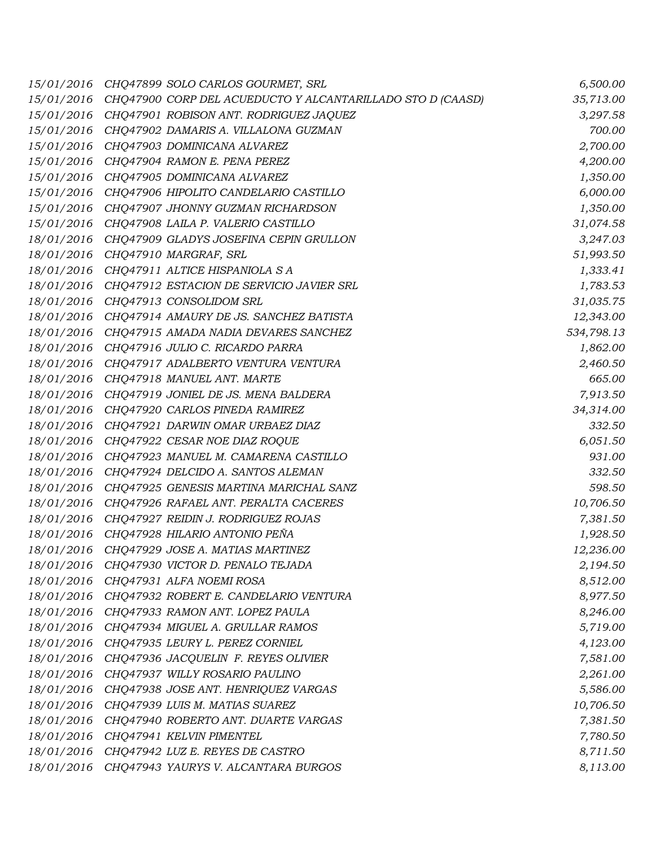| 15/01/2016 | CHQ47899 SOLO CARLOS GOURMET, SRL                          | 6,500.00   |
|------------|------------------------------------------------------------|------------|
| 15/01/2016 | CHQ47900 CORP DEL ACUEDUCTO Y ALCANTARILLADO STO D (CAASD) | 35,713.00  |
| 15/01/2016 | CHQ47901 ROBISON ANT. RODRIGUEZ JAQUEZ                     | 3,297.58   |
| 15/01/2016 | CHQ47902 DAMARIS A. VILLALONA GUZMAN                       | 700.00     |
| 15/01/2016 | CHQ47903 DOMINICANA ALVAREZ                                | 2,700.00   |
| 15/01/2016 | CHQ47904 RAMON E. PENA PEREZ                               | 4,200.00   |
| 15/01/2016 | CHQ47905 DOMINICANA ALVAREZ                                | 1,350.00   |
| 15/01/2016 | CHQ47906 HIPOLITO CANDELARIO CASTILLO                      | 6,000.00   |
| 15/01/2016 | CHQ47907 JHONNY GUZMAN RICHARDSON                          | 1,350.00   |
| 15/01/2016 | CHQ47908 LAILA P. VALERIO CASTILLO                         | 31,074.58  |
| 18/01/2016 | CHQ47909 GLADYS JOSEFINA CEPIN GRULLON                     | 3,247.03   |
| 18/01/2016 | CHQ47910 MARGRAF, SRL                                      | 51,993.50  |
| 18/01/2016 | CHQ47911 ALTICE HISPANIOLA S A                             | 1,333.41   |
| 18/01/2016 | CHQ47912 ESTACION DE SERVICIO JAVIER SRL                   | 1,783.53   |
| 18/01/2016 | CHQ47913 CONSOLIDOM SRL                                    | 31,035.75  |
| 18/01/2016 | CHQ47914 AMAURY DE JS. SANCHEZ BATISTA                     | 12,343.00  |
| 18/01/2016 | CHQ47915 AMADA NADIA DEVARES SANCHEZ                       | 534,798.13 |
| 18/01/2016 | CHQ47916 JULIO C. RICARDO PARRA                            | 1,862.00   |
| 18/01/2016 | CHQ47917 ADALBERTO VENTURA VENTURA                         | 2,460.50   |
| 18/01/2016 | CHQ47918 MANUEL ANT. MARTE                                 | 665.00     |
| 18/01/2016 | CHQ47919 JONIEL DE JS. MENA BALDERA                        | 7,913.50   |
| 18/01/2016 | CHQ47920 CARLOS PINEDA RAMIREZ                             | 34,314.00  |
| 18/01/2016 | CHQ47921 DARWIN OMAR URBAEZ DIAZ                           | 332.50     |
| 18/01/2016 | CHQ47922 CESAR NOE DIAZ ROQUE                              | 6,051.50   |
| 18/01/2016 | CHQ47923 MANUEL M. CAMARENA CASTILLO                       | 931.00     |
| 18/01/2016 | CHQ47924 DELCIDO A. SANTOS ALEMAN                          | 332.50     |
| 18/01/2016 | CHQ47925 GENESIS MARTINA MARICHAL SANZ                     | 598.50     |
| 18/01/2016 | CHQ47926 RAFAEL ANT. PERALTA CACERES                       | 10,706.50  |
| 18/01/2016 | CHQ47927 REIDIN J. RODRIGUEZ ROJAS                         | 7,381.50   |
| 18/01/2016 | CHQ47928 HILARIO ANTONIO PEÑA                              | 1,928.50   |
| 18/01/2016 | CHQ47929 JOSE A. MATIAS MARTINEZ                           | 12,236.00  |
| 18/01/2016 | CHQ47930 VICTOR D. PENALO TEJADA                           | 2,194.50   |
| 18/01/2016 | CHQ47931 ALFA NOEMI ROSA                                   | 8,512.00   |
| 18/01/2016 | CHQ47932 ROBERT E. CANDELARIO VENTURA                      | 8,977.50   |
| 18/01/2016 | CHQ47933 RAMON ANT. LOPEZ PAULA                            | 8,246.00   |
| 18/01/2016 | CHQ47934 MIGUEL A. GRULLAR RAMOS                           | 5,719.00   |
| 18/01/2016 | CHQ47935 LEURY L. PEREZ CORNIEL                            | 4,123.00   |
| 18/01/2016 | CHQ47936 JACQUELIN F. REYES OLIVIER                        | 7,581.00   |
| 18/01/2016 | CHQ47937 WILLY ROSARIO PAULINO                             | 2,261.00   |
| 18/01/2016 | CHQ47938 JOSE ANT. HENRIQUEZ VARGAS                        | 5,586.00   |
| 18/01/2016 | CHQ47939 LUIS M. MATIAS SUAREZ                             | 10,706.50  |
| 18/01/2016 | CHQ47940 ROBERTO ANT. DUARTE VARGAS                        | 7,381.50   |
| 18/01/2016 | CHQ47941 KELVIN PIMENTEL                                   | 7,780.50   |
| 18/01/2016 | CHQ47942 LUZ E. REYES DE CASTRO                            | 8,711.50   |
| 18/01/2016 | CHQ47943 YAURYS V. ALCANTARA BURGOS                        | 8,113.00   |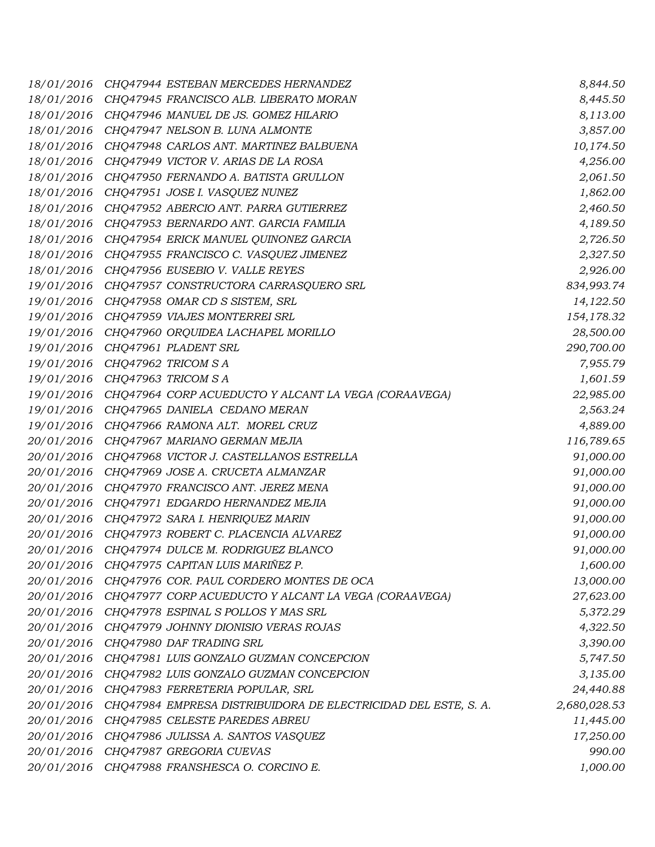| 18/01/2016 | CHQ47944 ESTEBAN MERCEDES HERNANDEZ                            | 8,844.50     |
|------------|----------------------------------------------------------------|--------------|
| 18/01/2016 | CHQ47945 FRANCISCO ALB. LIBERATO MORAN                         | 8,445.50     |
| 18/01/2016 | CHQ47946 MANUEL DE JS. GOMEZ HILARIO                           | 8,113.00     |
| 18/01/2016 | CHQ47947 NELSON B. LUNA ALMONTE                                | 3,857.00     |
| 18/01/2016 | CHQ47948 CARLOS ANT. MARTINEZ BALBUENA                         | 10,174.50    |
| 18/01/2016 | CHQ47949 VICTOR V. ARIAS DE LA ROSA                            | 4,256.00     |
| 18/01/2016 | CHQ47950 FERNANDO A. BATISTA GRULLON                           | 2,061.50     |
| 18/01/2016 | CHQ47951 JOSE I. VASQUEZ NUNEZ                                 | 1,862.00     |
| 18/01/2016 | CHQ47952 ABERCIO ANT. PARRA GUTIERREZ                          | 2,460.50     |
| 18/01/2016 | CHQ47953 BERNARDO ANT. GARCIA FAMILIA                          | 4,189.50     |
| 18/01/2016 | CHQ47954 ERICK MANUEL QUINONEZ GARCIA                          | 2,726.50     |
| 18/01/2016 | CHQ47955 FRANCISCO C. VASQUEZ JIMENEZ                          | 2,327.50     |
| 18/01/2016 | CHQ47956 EUSEBIO V. VALLE REYES                                | 2,926.00     |
| 19/01/2016 | CHQ47957 CONSTRUCTORA CARRASQUERO SRL                          | 834,993.74   |
| 19/01/2016 | CHQ47958 OMAR CD S SISTEM, SRL                                 | 14,122.50    |
| 19/01/2016 | CHQ47959 VIAJES MONTERREI SRL                                  | 154,178.32   |
| 19/01/2016 | CHQ47960 ORQUIDEA LACHAPEL MORILLO                             | 28,500.00    |
| 19/01/2016 | CHQ47961 PLADENT SRL                                           | 290,700.00   |
| 19/01/2016 | CHQ47962 TRICOM SA                                             | 7,955.79     |
| 19/01/2016 | CHQ47963 TRICOM SA                                             | 1,601.59     |
| 19/01/2016 | CHQ47964 CORP ACUEDUCTO Y ALCANT LA VEGA (CORAAVEGA)           | 22,985.00    |
| 19/01/2016 | CHQ47965 DANIELA CEDANO MERAN                                  | 2,563.24     |
| 19/01/2016 | CHQ47966 RAMONA ALT. MOREL CRUZ                                | 4,889.00     |
| 20/01/2016 | CHQ47967 MARIANO GERMAN MEJIA                                  | 116,789.65   |
| 20/01/2016 | CHQ47968 VICTOR J. CASTELLANOS ESTRELLA                        | 91,000.00    |
| 20/01/2016 | CHQ47969 JOSE A. CRUCETA ALMANZAR                              | 91,000.00    |
| 20/01/2016 | CHQ47970 FRANCISCO ANT. JEREZ MENA                             | 91,000.00    |
| 20/01/2016 | CHQ47971 EDGARDO HERNANDEZ MEJIA                               | 91,000.00    |
| 20/01/2016 | CHQ47972 SARA I. HENRIQUEZ MARIN                               | 91,000.00    |
| 20/01/2016 | CHQ47973 ROBERT C. PLACENCIA ALVAREZ                           | 91,000.00    |
| 20/01/2016 | CHQ47974 DULCE M. RODRIGUEZ BLANCO                             | 91,000.00    |
| 20/01/2016 | CHQ47975 CAPITAN LUIS MARIÑEZ P.                               | 1,600.00     |
| 20/01/2016 | CHQ47976 COR. PAUL CORDERO MONTES DE OCA                       | 13,000.00    |
| 20/01/2016 | CHQ47977 CORP ACUEDUCTO Y ALCANT LA VEGA (CORAAVEGA)           | 27,623.00    |
| 20/01/2016 | CHQ47978 ESPINAL S POLLOS Y MAS SRL                            | 5,372.29     |
| 20/01/2016 | CHO47979 JOHNNY DIONISIO VERAS ROJAS                           | 4,322.50     |
| 20/01/2016 | CHQ47980 DAF TRADING SRL                                       | 3,390.00     |
| 20/01/2016 | CHQ47981 LUIS GONZALO GUZMAN CONCEPCION                        | 5,747.50     |
| 20/01/2016 | CHQ47982 LUIS GONZALO GUZMAN CONCEPCION                        | 3,135.00     |
| 20/01/2016 | CHQ47983 FERRETERIA POPULAR, SRL                               | 24,440.88    |
| 20/01/2016 | CHQ47984 EMPRESA DISTRIBUIDORA DE ELECTRICIDAD DEL ESTE, S. A. | 2,680,028.53 |
| 20/01/2016 | CHQ47985 CELESTE PAREDES ABREU                                 | 11,445.00    |
| 20/01/2016 | CHQ47986 JULISSA A. SANTOS VASQUEZ                             | 17,250.00    |
| 20/01/2016 | CHQ47987 GREGORIA CUEVAS                                       | 990.00       |
| 20/01/2016 | CHQ47988 FRANSHESCA O. CORCINO E.                              | 1,000.00     |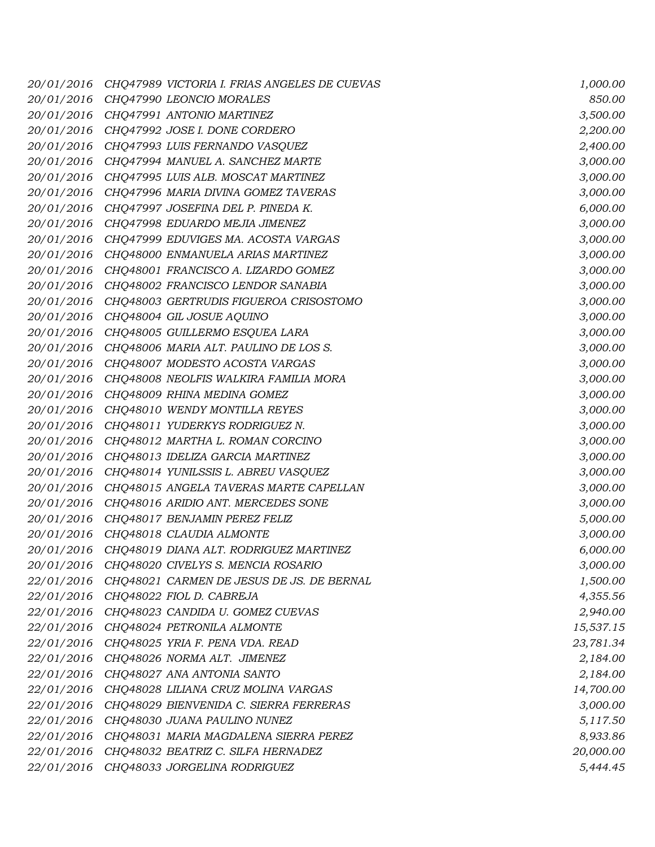| 20/01/2016 | CHQ47989 VICTORIA I. FRIAS ANGELES DE CUEVAS | 1,000.00  |
|------------|----------------------------------------------|-----------|
| 20/01/2016 | CHQ47990 LEONCIO MORALES                     | 850.00    |
| 20/01/2016 | CHQ47991 ANTONIO MARTINEZ                    | 3,500.00  |
| 20/01/2016 | CHQ47992 JOSE I. DONE CORDERO                | 2,200.00  |
| 20/01/2016 | CHQ47993 LUIS FERNANDO VASQUEZ               | 2,400.00  |
| 20/01/2016 | CHQ47994 MANUEL A. SANCHEZ MARTE             | 3,000.00  |
| 20/01/2016 | CHQ47995 LUIS ALB. MOSCAT MARTINEZ           | 3,000.00  |
| 20/01/2016 | CHQ47996 MARIA DIVINA GOMEZ TAVERAS          | 3,000.00  |
| 20/01/2016 | CHQ47997 JOSEFINA DEL P. PINEDA K.           | 6,000.00  |
| 20/01/2016 | CHQ47998 EDUARDO MEJIA JIMENEZ               | 3,000.00  |
| 20/01/2016 | CHQ47999 EDUVIGES MA. ACOSTA VARGAS          | 3,000.00  |
| 20/01/2016 | CHQ48000 ENMANUELA ARIAS MARTINEZ            | 3,000.00  |
| 20/01/2016 | CHQ48001 FRANCISCO A. LIZARDO GOMEZ          | 3,000.00  |
| 20/01/2016 | CHQ48002 FRANCISCO LENDOR SANABIA            | 3,000.00  |
| 20/01/2016 | CHQ48003 GERTRUDIS FIGUEROA CRISOSTOMO       | 3,000.00  |
| 20/01/2016 | CHQ48004 GIL JOSUE AQUINO                    | 3,000.00  |
| 20/01/2016 | CHQ48005 GUILLERMO ESQUEA LARA               | 3,000.00  |
| 20/01/2016 | CHQ48006 MARIA ALT. PAULINO DE LOS S.        | 3,000.00  |
| 20/01/2016 | CHQ48007 MODESTO ACOSTA VARGAS               | 3,000.00  |
| 20/01/2016 | CHQ48008 NEOLFIS WALKIRA FAMILIA MORA        | 3,000.00  |
| 20/01/2016 | CHQ48009 RHINA MEDINA GOMEZ                  | 3,000.00  |
| 20/01/2016 | CHQ48010 WENDY MONTILLA REYES                | 3,000.00  |
| 20/01/2016 | CHQ48011 YUDERKYS RODRIGUEZ N.               | 3,000.00  |
| 20/01/2016 | CHQ48012 MARTHA L. ROMAN CORCINO             | 3,000.00  |
| 20/01/2016 | CHQ48013 IDELIZA GARCIA MARTINEZ             | 3,000.00  |
| 20/01/2016 | CHQ48014 YUNILSSIS L. ABREU VASQUEZ          | 3,000.00  |
| 20/01/2016 | CHQ48015 ANGELA TAVERAS MARTE CAPELLAN       | 3,000.00  |
| 20/01/2016 | CHQ48016 ARIDIO ANT. MERCEDES SONE           | 3,000.00  |
| 20/01/2016 | CHQ48017 BENJAMIN PEREZ FELIZ                | 5,000.00  |
| 20/01/2016 | CHQ48018 CLAUDIA ALMONTE                     | 3,000.00  |
| 20/01/2016 | CHQ48019 DIANA ALT. RODRIGUEZ MARTINEZ       | 6,000.00  |
| 20/01/2016 | CHQ48020 CIVELYS S. MENCIA ROSARIO           | 3,000.00  |
| 22/01/2016 | CHQ48021 CARMEN DE JESUS DE JS. DE BERNAL    | 1,500.00  |
| 22/01/2016 | CHQ48022 FIOL D. CABREJA                     | 4,355.56  |
| 22/01/2016 | CHQ48023 CANDIDA U. GOMEZ CUEVAS             | 2,940.00  |
| 22/01/2016 | CHQ48024 PETRONILA ALMONTE                   | 15,537.15 |
| 22/01/2016 | CHQ48025 YRIA F. PENA VDA. READ              | 23,781.34 |
| 22/01/2016 | CHQ48026 NORMA ALT. JIMENEZ                  | 2,184.00  |
| 22/01/2016 | CHQ48027 ANA ANTONIA SANTO                   | 2,184.00  |
| 22/01/2016 | CHQ48028 LILIANA CRUZ MOLINA VARGAS          | 14,700.00 |
| 22/01/2016 | CHO48029 BIENVENIDA C. SIERRA FERRERAS       | 3,000.00  |
| 22/01/2016 | CHQ48030 JUANA PAULINO NUNEZ                 | 5,117.50  |
| 22/01/2016 | CHQ48031 MARIA MAGDALENA SIERRA PEREZ        | 8,933.86  |
| 22/01/2016 | CHQ48032 BEATRIZ C. SILFA HERNADEZ           | 20,000.00 |
| 22/01/2016 | CHQ48033 JORGELINA RODRIGUEZ                 | 5,444.45  |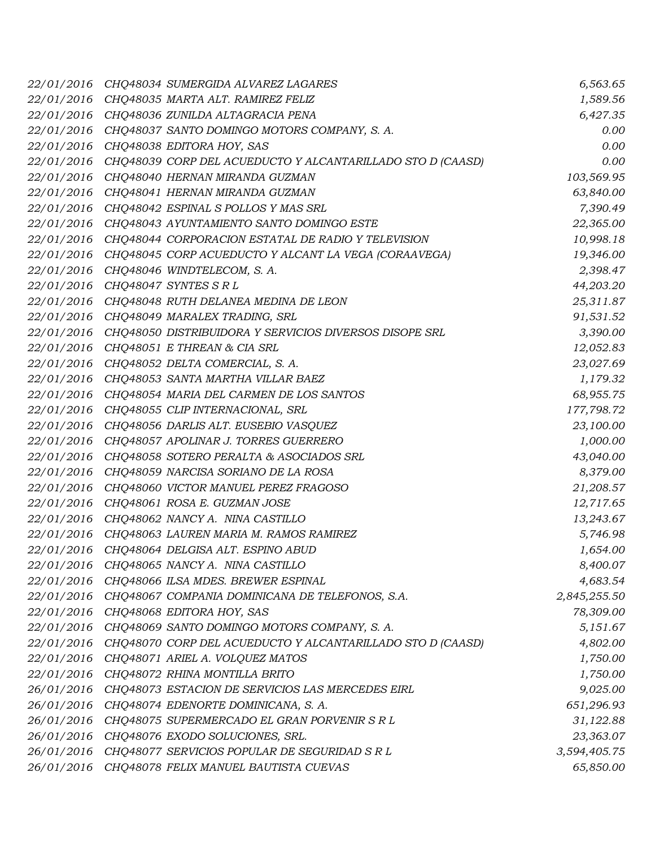| 22/01/2016 | CHQ48034 SUMERGIDA ALVAREZ LAGARES                         | 6,563.65     |
|------------|------------------------------------------------------------|--------------|
| 22/01/2016 | CHQ48035 MARTA ALT. RAMIREZ FELIZ                          | 1,589.56     |
| 22/01/2016 | CHQ48036 ZUNILDA ALTAGRACIA PENA                           | 6,427.35     |
| 22/01/2016 | CHQ48037 SANTO DOMINGO MOTORS COMPANY, S. A.               | 0.00         |
| 22/01/2016 | CHQ48038 EDITORA HOY, SAS                                  | 0.00         |
| 22/01/2016 | CHQ48039 CORP DEL ACUEDUCTO Y ALCANTARILLADO STO D (CAASD) | 0.00         |
| 22/01/2016 | CHQ48040 HERNAN MIRANDA GUZMAN                             | 103,569.95   |
| 22/01/2016 | CHO48041 HERNAN MIRANDA GUZMAN                             | 63,840.00    |
| 22/01/2016 | CHQ48042 ESPINAL S POLLOS Y MAS SRL                        | 7,390.49     |
| 22/01/2016 | CHQ48043 AYUNTAMIENTO SANTO DOMINGO ESTE                   | 22,365.00    |
| 22/01/2016 | CHQ48044 CORPORACION ESTATAL DE RADIO Y TELEVISION         | 10,998.18    |
| 22/01/2016 | CHQ48045 CORP ACUEDUCTO Y ALCANT LA VEGA (CORAAVEGA)       | 19,346.00    |
| 22/01/2016 | CHQ48046 WINDTELECOM, S.A.                                 | 2,398.47     |
| 22/01/2016 | CHQ48047 SYNTES SRL                                        | 44,203.20    |
| 22/01/2016 | CHQ48048 RUTH DELANEA MEDINA DE LEON                       | 25,311.87    |
| 22/01/2016 | CHQ48049 MARALEX TRADING, SRL                              | 91,531.52    |
| 22/01/2016 | CHQ48050 DISTRIBUIDORA Y SERVICIOS DIVERSOS DISOPE SRL     | 3,390.00     |
| 22/01/2016 | CHQ48051 E THREAN & CIA SRL                                | 12,052.83    |
| 22/01/2016 | CHQ48052 DELTA COMERCIAL, S. A.                            | 23,027.69    |
| 22/01/2016 | CHQ48053 SANTA MARTHA VILLAR BAEZ                          | 1,179.32     |
| 22/01/2016 | CHQ48054 MARIA DEL CARMEN DE LOS SANTOS                    | 68,955.75    |
| 22/01/2016 | CHQ48055 CLIP INTERNACIONAL, SRL                           | 177,798.72   |
| 22/01/2016 | CHQ48056 DARLIS ALT. EUSEBIO VASQUEZ                       | 23,100.00    |
| 22/01/2016 | CHQ48057 APOLINAR J. TORRES GUERRERO                       | 1,000.00     |
| 22/01/2016 | CHQ48058 SOTERO PERALTA & ASOCIADOS SRL                    | 43,040.00    |
| 22/01/2016 | CHQ48059 NARCISA SORIANO DE LA ROSA                        | 8,379.00     |
| 22/01/2016 | CHQ48060 VICTOR MANUEL PEREZ FRAGOSO                       | 21,208.57    |
| 22/01/2016 | CHQ48061 ROSA E. GUZMAN JOSE                               | 12,717.65    |
| 22/01/2016 | CHQ48062 NANCY A. NINA CASTILLO                            | 13,243.67    |
| 22/01/2016 | CHQ48063 LAUREN MARIA M. RAMOS RAMIREZ                     | 5,746.98     |
| 22/01/2016 | CHQ48064 DELGISA ALT. ESPINO ABUD                          | 1,654.00     |
| 22/01/2016 | CHQ48065 NANCY A. NINA CASTILLO                            | 8,400.07     |
| 22/01/2016 | CHQ48066 ILSA MDES. BREWER ESPINAL                         | 4,683.54     |
| 22/01/2016 | CHQ48067 COMPANIA DOMINICANA DE TELEFONOS, S.A.            | 2,845,255.50 |
| 22/01/2016 | CHQ48068 EDITORA HOY, SAS                                  | 78,309.00    |
| 22/01/2016 | CHQ48069 SANTO DOMINGO MOTORS COMPANY, S. A.               | 5,151.67     |
| 22/01/2016 | CHQ48070 CORP DEL ACUEDUCTO Y ALCANTARILLADO STO D (CAASD) | 4,802.00     |
| 22/01/2016 | CHQ48071 ARIEL A. VOLQUEZ MATOS                            | 1,750.00     |
| 22/01/2016 | CHQ48072 RHINA MONTILLA BRITO                              | 1,750.00     |
| 26/01/2016 | CHQ48073 ESTACION DE SERVICIOS LAS MERCEDES EIRL           | 9,025.00     |
| 26/01/2016 | CHQ48074 EDENORTE DOMINICANA, S. A.                        | 651,296.93   |
| 26/01/2016 | CHQ48075 SUPERMERCADO EL GRAN PORVENIR S R L               | 31,122.88    |
| 26/01/2016 | CHQ48076 EXODO SOLUCIONES, SRL.                            | 23,363.07    |
| 26/01/2016 | CHQ48077 SERVICIOS POPULAR DE SEGURIDAD S R L              | 3,594,405.75 |
| 26/01/2016 | CHQ48078 FELIX MANUEL BAUTISTA CUEVAS                      | 65,850.00    |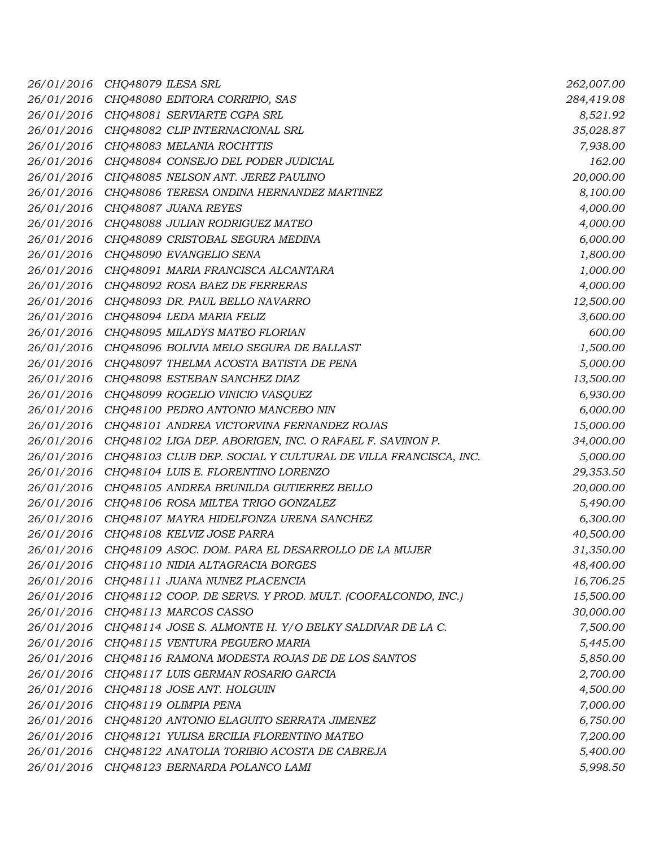| 26/01/2016 | CHO48079 ILESA SRL                                            | 262,007.00 |
|------------|---------------------------------------------------------------|------------|
| 26/01/2016 | CHQ48080 EDITORA CORRIPIO, SAS                                | 284,419.08 |
| 26/01/2016 | CHQ48081 SERVIARTE CGPA SRL                                   | 8,521.92   |
| 26/01/2016 | CHQ48082 CLIP INTERNACIONAL SRL                               | 35,028.87  |
| 26/01/2016 | CHO48083 MELANIA ROCHTTIS                                     | 7,938.00   |
| 26/01/2016 | CHQ48084 CONSEJO DEL PODER JUDICIAL                           | 162.00     |
| 26/01/2016 | CHQ48085 NELSON ANT. JEREZ PAULINO                            | 20,000.00  |
| 26/01/2016 | CHQ48086 TERESA ONDINA HERNANDEZ MARTINEZ                     | 8,100.00   |
| 26/01/2016 | CHQ48087 JUANA REYES                                          | 4,000.00   |
| 26/01/2016 | CHQ48088 JULIAN RODRIGUEZ MATEO                               | 4,000.00   |
| 26/01/2016 | CHQ48089 CRISTOBAL SEGURA MEDINA                              | 6,000.00   |
| 26/01/2016 | CHQ48090 EVANGELIO SENA                                       | 1,800.00   |
| 26/01/2016 | CHQ48091 MARIA FRANCISCA ALCANTARA                            | 1,000.00   |
| 26/01/2016 | CHQ48092 ROSA BAEZ DE FERRERAS                                | 4,000.00   |
| 26/01/2016 | CHQ48093 DR. PAUL BELLO NAVARRO                               | 12,500.00  |
| 26/01/2016 | CHQ48094 LEDA MARIA FELIZ                                     | 3,600.00   |
| 26/01/2016 | CHQ48095 MILADYS MATEO FLORIAN                                | 600.00     |
| 26/01/2016 | CHQ48096 BOLIVIA MELO SEGURA DE BALLAST                       | 1,500.00   |
| 26/01/2016 | CHQ48097 THELMA ACOSTA BATISTA DE PENA                        | 5,000.00   |
| 26/01/2016 | CHQ48098 ESTEBAN SANCHEZ DIAZ                                 | 13,500.00  |
| 26/01/2016 | CHQ48099 ROGELIO VINICIO VASQUEZ                              | 6,930.00   |
| 26/01/2016 | CHQ48100 PEDRO ANTONIO MANCEBO NIN                            | 6,000.00   |
| 26/01/2016 | CHQ48101 ANDREA VICTORVINA FERNANDEZ ROJAS                    | 15,000.00  |
| 26/01/2016 | CHQ48102 LIGA DEP. ABORIGEN, INC. O RAFAEL F. SAVINON P.      | 34,000.00  |
| 26/01/2016 | CHQ48103 CLUB DEP. SOCIAL Y CULTURAL DE VILLA FRANCISCA, INC. | 5,000.00   |
| 26/01/2016 | CHQ48104 LUIS E. FLORENTINO LORENZO                           | 29,353.50  |
| 26/01/2016 | CHQ48105 ANDREA BRUNILDA GUTIERREZ BELLO                      | 20,000.00  |
| 26/01/2016 | CHQ48106 ROSA MILTEA TRIGO GONZALEZ                           | 5,490.00   |
| 26/01/2016 | CHQ48107 MAYRA HIDELFONZA URENA SANCHEZ                       | 6,300.00   |
| 26/01/2016 | CHQ48108 KELVIZ JOSE PARRA                                    | 40,500.00  |
| 26/01/2016 | CHQ48109 ASOC. DOM. PARA EL DESARROLLO DE LA MUJER            | 31,350.00  |
| 26/01/2016 | CHQ48110 NIDIA ALTAGRACIA BORGES                              | 48,400.00  |
| 26/01/2016 | CHQ48111 JUANA NUNEZ PLACENCIA                                | 16,706.25  |
| 26/01/2016 | CHQ48112 COOP. DE SERVS. Y PROD. MULT. (COOFALCONDO, INC.)    | 15,500.00  |
| 26/01/2016 | CHQ48113 MARCOS CASSO                                         | 30,000.00  |
| 26/01/2016 | CHQ48114 JOSE S. ALMONTE H. Y/O BELKY SALDIVAR DE LA C.       | 7,500.00   |
| 26/01/2016 | CHQ48115 VENTURA PEGUERO MARIA                                | 5,445.00   |
| 26/01/2016 | CHQ48116 RAMONA MODESTA ROJAS DE DE LOS SANTOS                | 5,850.00   |
| 26/01/2016 | CHQ48117 LUIS GERMAN ROSARIO GARCIA                           | 2,700.00   |
| 26/01/2016 | CHQ48118 JOSE ANT. HOLGUIN                                    | 4,500.00   |
| 26/01/2016 | CHQ48119 OLIMPIA PENA                                         | 7,000.00   |
| 26/01/2016 | CHQ48120 ANTONIO ELAGUITO SERRATA JIMENEZ                     | 6,750.00   |
| 26/01/2016 | CHQ48121 YULISA ERCILIA FLORENTINO MATEO                      | 7,200.00   |
| 26/01/2016 | CHQ48122 ANATOLIA TORIBIO ACOSTA DE CABREJA                   | 5,400.00   |
| 26/01/2016 | CHQ48123 BERNARDA POLANCO LAMI                                | 5,998.50   |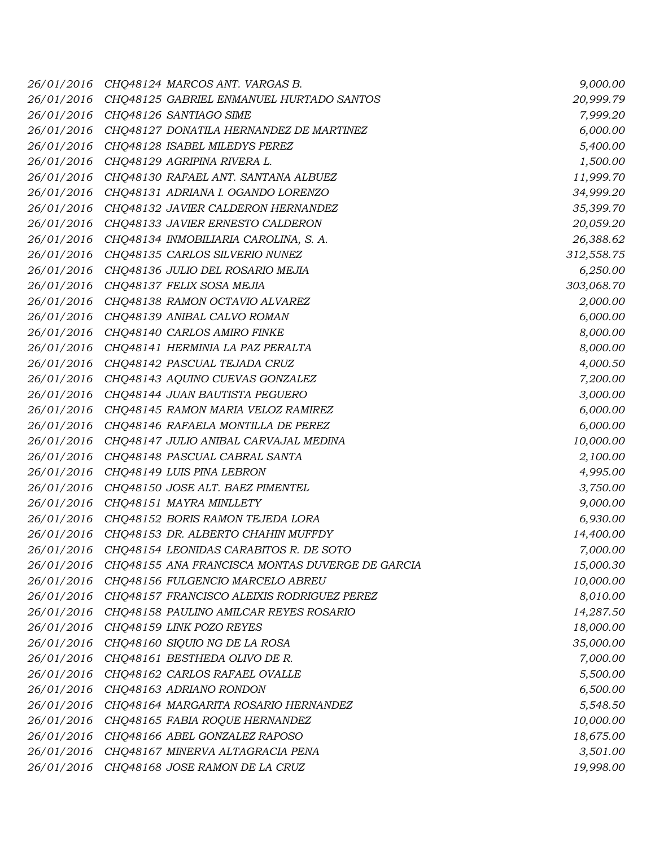| 26/01/2016 | CHQ48124 MARCOS ANT. VARGAS B.                  | 9,000.00   |
|------------|-------------------------------------------------|------------|
| 26/01/2016 | CHQ48125 GABRIEL ENMANUEL HURTADO SANTOS        | 20,999.79  |
| 26/01/2016 | CHQ48126 SANTIAGO SIME                          | 7,999.20   |
| 26/01/2016 | CHQ48127 DONATILA HERNANDEZ DE MARTINEZ         | 6,000.00   |
| 26/01/2016 | CHQ48128 ISABEL MILEDYS PEREZ                   | 5,400.00   |
| 26/01/2016 | CHO48129 AGRIPINA RIVERA L.                     | 1,500.00   |
| 26/01/2016 | CHQ48130 RAFAEL ANT. SANTANA ALBUEZ             | 11,999.70  |
| 26/01/2016 | CHQ48131 ADRIANA I. OGANDO LORENZO              | 34,999.20  |
| 26/01/2016 | CHQ48132 JAVIER CALDERON HERNANDEZ              | 35,399.70  |
| 26/01/2016 | CHQ48133 JAVIER ERNESTO CALDERON                | 20,059.20  |
| 26/01/2016 | CHO48134 INMOBILIARIA CAROLINA, S. A.           | 26,388.62  |
| 26/01/2016 | CHQ48135 CARLOS SILVERIO NUNEZ                  | 312,558.75 |
| 26/01/2016 | CHQ48136 JULIO DEL ROSARIO MEJIA                | 6,250.00   |
| 26/01/2016 | CHQ48137 FELIX SOSA MEJIA                       | 303,068.70 |
| 26/01/2016 | CHQ48138 RAMON OCTAVIO ALVAREZ                  | 2,000.00   |
| 26/01/2016 | CHQ48139 ANIBAL CALVO ROMAN                     | 6,000.00   |
| 26/01/2016 | CHQ48140 CARLOS AMIRO FINKE                     | 8,000.00   |
| 26/01/2016 | CHQ48141 HERMINIA LA PAZ PERALTA                | 8,000.00   |
| 26/01/2016 | CHQ48142 PASCUAL TEJADA CRUZ                    | 4,000.50   |
| 26/01/2016 | CHQ48143 AQUINO CUEVAS GONZALEZ                 | 7,200.00   |
| 26/01/2016 | CHQ48144 JUAN BAUTISTA PEGUERO                  | 3,000.00   |
| 26/01/2016 | CHQ48145 RAMON MARIA VELOZ RAMIREZ              | 6,000.00   |
| 26/01/2016 | CHQ48146 RAFAELA MONTILLA DE PEREZ              | 6,000.00   |
| 26/01/2016 | CHQ48147 JULIO ANIBAL CARVAJAL MEDINA           | 10,000.00  |
| 26/01/2016 | CHQ48148 PASCUAL CABRAL SANTA                   | 2,100.00   |
| 26/01/2016 | CHQ48149 LUIS PINA LEBRON                       | 4,995.00   |
| 26/01/2016 | CHQ48150 JOSE ALT. BAEZ PIMENTEL                | 3,750.00   |
| 26/01/2016 | CHQ48151 MAYRA MINLLETY                         | 9,000.00   |
| 26/01/2016 | CHQ48152 BORIS RAMON TEJEDA LORA                | 6,930.00   |
| 26/01/2016 | CHQ48153 DR. ALBERTO CHAHIN MUFFDY              | 14,400.00  |
| 26/01/2016 | CHQ48154 LEONIDAS CARABITOS R. DE SOTO          | 7,000.00   |
| 26/01/2016 | CHQ48155 ANA FRANCISCA MONTAS DUVERGE DE GARCIA | 15,000.30  |
| 26/01/2016 | CHQ48156 FULGENCIO MARCELO ABREU                | 10,000.00  |
| 26/01/2016 | CHQ48157 FRANCISCO ALEIXIS RODRIGUEZ PEREZ      | 8,010.00   |
| 26/01/2016 | CHQ48158 PAULINO AMILCAR REYES ROSARIO          | 14,287.50  |
| 26/01/2016 | CHQ48159 LINK POZO REYES                        | 18,000.00  |
| 26/01/2016 | CHQ48160 SIQUIO NG DE LA ROSA                   | 35,000.00  |
| 26/01/2016 | CHQ48161 BESTHEDA OLIVO DE R.                   | 7,000.00   |
| 26/01/2016 | CHQ48162 CARLOS RAFAEL OVALLE                   | 5,500.00   |
| 26/01/2016 | CHQ48163 ADRIANO RONDON                         | 6,500.00   |
| 26/01/2016 | CHQ48164 MARGARITA ROSARIO HERNANDEZ            | 5,548.50   |
| 26/01/2016 | CHQ48165 FABIA ROQUE HERNANDEZ                  | 10,000.00  |
| 26/01/2016 | CHQ48166 ABEL GONZALEZ RAPOSO                   | 18,675.00  |
| 26/01/2016 | CHQ48167 MINERVA ALTAGRACIA PENA                | 3,501.00   |
| 26/01/2016 | CHQ48168 JOSE RAMON DE LA CRUZ                  | 19,998.00  |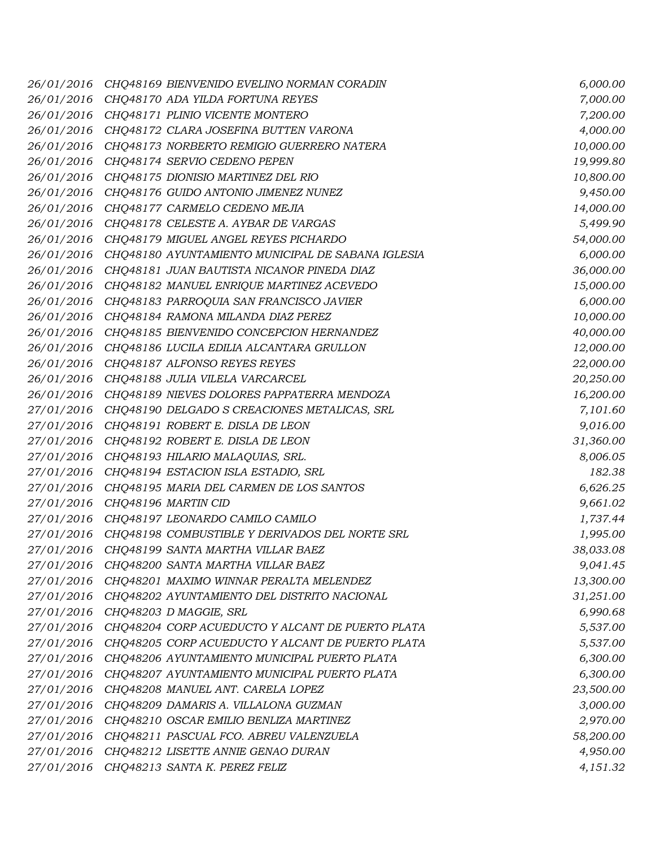| 26/01/2016 | CHQ48169 BIENVENIDO EVELINO NORMAN CORADIN        | 6,000.00  |
|------------|---------------------------------------------------|-----------|
| 26/01/2016 | CHQ48170 ADA YILDA FORTUNA REYES                  | 7,000.00  |
| 26/01/2016 | CHQ48171 PLINIO VICENTE MONTERO                   | 7,200.00  |
| 26/01/2016 | CHQ48172 CLARA JOSEFINA BUTTEN VARONA             | 4,000.00  |
| 26/01/2016 | CHQ48173 NORBERTO REMIGIO GUERRERO NATERA         | 10,000.00 |
| 26/01/2016 | CHQ48174 SERVIO CEDENO PEPEN                      | 19,999.80 |
| 26/01/2016 | CHQ48175 DIONISIO MARTINEZ DEL RIO                | 10,800.00 |
| 26/01/2016 | CHQ48176 GUIDO ANTONIO JIMENEZ NUNEZ              | 9,450.00  |
| 26/01/2016 | CHQ48177 CARMELO CEDENO MEJIA                     | 14,000.00 |
| 26/01/2016 | CHQ48178 CELESTE A. AYBAR DE VARGAS               | 5,499.90  |
| 26/01/2016 | CHQ48179 MIGUEL ANGEL REYES PICHARDO              | 54,000.00 |
| 26/01/2016 | CHQ48180 AYUNTAMIENTO MUNICIPAL DE SABANA IGLESIA | 6,000.00  |
| 26/01/2016 | CHQ48181 JUAN BAUTISTA NICANOR PINEDA DIAZ        | 36,000.00 |
| 26/01/2016 | CHQ48182 MANUEL ENRIQUE MARTINEZ ACEVEDO          | 15,000.00 |
| 26/01/2016 | CHQ48183 PARROQUIA SAN FRANCISCO JAVIER           | 6,000.00  |
| 26/01/2016 | CHQ48184 RAMONA MILANDA DIAZ PEREZ                | 10,000.00 |
| 26/01/2016 | CHQ48185 BIENVENIDO CONCEPCION HERNANDEZ          | 40,000.00 |
| 26/01/2016 | CHQ48186 LUCILA EDILIA ALCANTARA GRULLON          | 12,000.00 |
| 26/01/2016 | CHQ48187 ALFONSO REYES REYES                      | 22,000.00 |
| 26/01/2016 | CHQ48188 JULIA VILELA VARCARCEL                   | 20,250.00 |
| 26/01/2016 | CHQ48189 NIEVES DOLORES PAPPATERRA MENDOZA        | 16,200.00 |
| 27/01/2016 | CHQ48190 DELGADO S CREACIONES METALICAS, SRL      | 7,101.60  |
| 27/01/2016 | CHQ48191 ROBERT E. DISLA DE LEON                  | 9,016.00  |
| 27/01/2016 | CHQ48192 ROBERT E. DISLA DE LEON                  | 31,360.00 |
| 27/01/2016 | CHQ48193 HILARIO MALAQUIAS, SRL.                  | 8,006.05  |
| 27/01/2016 | CHQ48194 ESTACION ISLA ESTADIO, SRL               | 182.38    |
| 27/01/2016 | CHQ48195 MARIA DEL CARMEN DE LOS SANTOS           | 6,626.25  |
| 27/01/2016 | CHO48196 MARTIN CID                               | 9,661.02  |
| 27/01/2016 | CHQ48197 LEONARDO CAMILO CAMILO                   | 1,737.44  |
| 27/01/2016 | CHQ48198 COMBUSTIBLE Y DERIVADOS DEL NORTE SRL    | 1,995.00  |
| 27/01/2016 | CHQ48199 SANTA MARTHA VILLAR BAEZ                 | 38,033.08 |
| 27/01/2016 | CHQ48200 SANTA MARTHA VILLAR BAEZ                 | 9,041.45  |
| 27/01/2016 | CHQ48201 MAXIMO WINNAR PERALTA MELENDEZ           | 13,300.00 |
| 27/01/2016 | CHQ48202 AYUNTAMIENTO DEL DISTRITO NACIONAL       | 31,251.00 |
| 27/01/2016 | CHQ48203 D MAGGIE, SRL                            | 6,990.68  |
| 27/01/2016 | CHQ48204 CORP ACUEDUCTO Y ALCANT DE PUERTO PLATA  | 5,537.00  |
| 27/01/2016 | CHQ48205 CORP ACUEDUCTO Y ALCANT DE PUERTO PLATA  | 5,537.00  |
| 27/01/2016 | CHQ48206 AYUNTAMIENTO MUNICIPAL PUERTO PLATA      | 6,300.00  |
| 27/01/2016 | CHQ48207 AYUNTAMIENTO MUNICIPAL PUERTO PLATA      | 6,300.00  |
| 27/01/2016 | CHO48208 MANUEL ANT. CARELA LOPEZ                 | 23,500.00 |
| 27/01/2016 | CHQ48209 DAMARIS A. VILLALONA GUZMAN              | 3,000.00  |
| 27/01/2016 | CHQ48210 OSCAR EMILIO BENLIZA MARTINEZ            | 2,970.00  |
| 27/01/2016 | CHQ48211 PASCUAL FCO. ABREU VALENZUELA            | 58,200.00 |
| 27/01/2016 | CHQ48212 LISETTE ANNIE GENAO DURAN                | 4,950.00  |
| 27/01/2016 | CHQ48213 SANTA K. PEREZ FELIZ                     | 4,151.32  |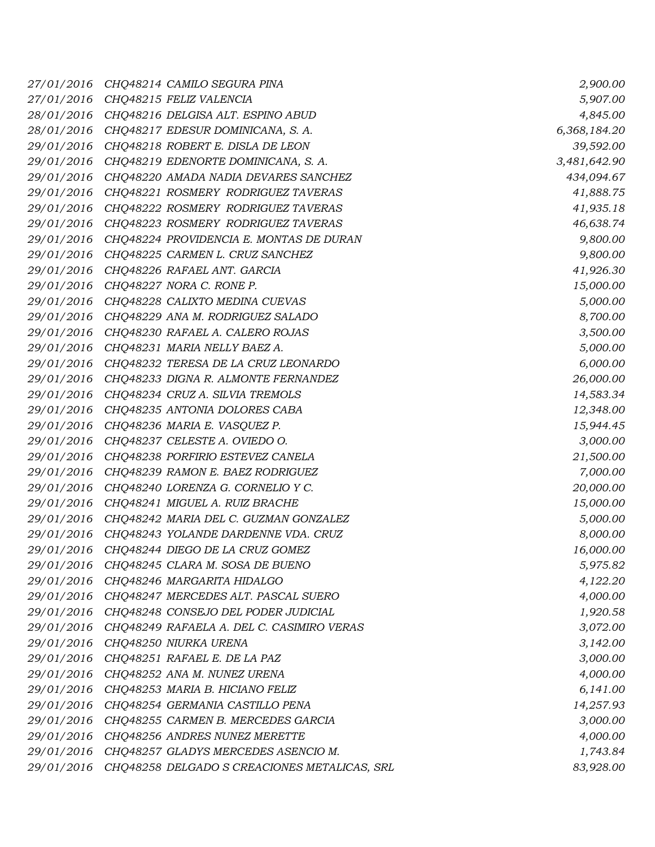| 27/01/2016 | CHQ48214 CAMILO SEGURA PINA                  | 2,900.00     |
|------------|----------------------------------------------|--------------|
| 27/01/2016 | CHQ48215 FELIZ VALENCIA                      | 5,907.00     |
| 28/01/2016 | CHQ48216 DELGISA ALT. ESPINO ABUD            | 4,845.00     |
| 28/01/2016 | CHQ48217 EDESUR DOMINICANA, S. A.            | 6,368,184.20 |
| 29/01/2016 | CHQ48218 ROBERT E. DISLA DE LEON             | 39,592.00    |
| 29/01/2016 | CHQ48219 EDENORTE DOMINICANA, S. A.          | 3,481,642.90 |
| 29/01/2016 | CHQ48220 AMADA NADIA DEVARES SANCHEZ         | 434,094.67   |
| 29/01/2016 | CHQ48221 ROSMERY RODRIGUEZ TAVERAS           | 41,888.75    |
| 29/01/2016 | CHQ48222 ROSMERY RODRIGUEZ TAVERAS           | 41,935.18    |
| 29/01/2016 | CHQ48223 ROSMERY RODRIGUEZ TAVERAS           | 46,638.74    |
| 29/01/2016 | CHQ48224 PROVIDENCIA E. MONTAS DE DURAN      | 9,800.00     |
| 29/01/2016 | CHQ48225 CARMEN L. CRUZ SANCHEZ              | 9,800.00     |
| 29/01/2016 | CHQ48226 RAFAEL ANT. GARCIA                  | 41,926.30    |
| 29/01/2016 | CHQ48227 NORA C. RONE P.                     | 15,000.00    |
| 29/01/2016 | CHQ48228 CALIXTO MEDINA CUEVAS               | 5,000.00     |
| 29/01/2016 | CHQ48229 ANA M. RODRIGUEZ SALADO             | 8,700.00     |
| 29/01/2016 | CHQ48230 RAFAEL A. CALERO ROJAS              | 3,500.00     |
| 29/01/2016 | CHQ48231 MARIA NELLY BAEZ A.                 | 5,000.00     |
| 29/01/2016 | CHQ48232 TERESA DE LA CRUZ LEONARDO          | 6,000.00     |
| 29/01/2016 | CHQ48233 DIGNA R. ALMONTE FERNANDEZ          | 26,000.00    |
| 29/01/2016 | CHQ48234 CRUZ A. SILVIA TREMOLS              | 14,583.34    |
| 29/01/2016 | CHQ48235 ANTONIA DOLORES CABA                | 12,348.00    |
| 29/01/2016 | CHQ48236 MARIA E. VASQUEZ P.                 | 15,944.45    |
| 29/01/2016 | CHQ48237 CELESTE A. OVIEDO O.                | 3,000.00     |
| 29/01/2016 | CHQ48238 PORFIRIO ESTEVEZ CANELA             | 21,500.00    |
| 29/01/2016 | CHQ48239 RAMON E. BAEZ RODRIGUEZ             | 7,000.00     |
| 29/01/2016 | CHQ48240 LORENZA G. CORNELIO Y C.            | 20,000.00    |
| 29/01/2016 | CHQ48241 MIGUEL A. RUIZ BRACHE               | 15,000.00    |
| 29/01/2016 | CHQ48242 MARIA DEL C. GUZMAN GONZALEZ        | 5,000.00     |
| 29/01/2016 | CHQ48243 YOLANDE DARDENNE VDA. CRUZ          | 8,000.00     |
| 29/01/2016 | CHQ48244 DIEGO DE LA CRUZ GOMEZ              | 16,000.00    |
| 29/01/2016 | CHQ48245 CLARA M. SOSA DE BUENO              | 5,975.82     |
| 29/01/2016 | CHQ48246 MARGARITA HIDALGO                   | 4,122.20     |
| 29/01/2016 | CHQ48247 MERCEDES ALT. PASCAL SUERO          | 4,000.00     |
| 29/01/2016 | CHQ48248 CONSEJO DEL PODER JUDICIAL          | 1,920.58     |
| 29/01/2016 | CHQ48249 RAFAELA A. DEL C. CASIMIRO VERAS    | 3,072.00     |
| 29/01/2016 | CHQ48250 NIURKA URENA                        | 3,142.00     |
| 29/01/2016 | CHQ48251 RAFAEL E. DE LA PAZ                 | 3,000.00     |
| 29/01/2016 | CHQ48252 ANA M. NUNEZ URENA                  | 4,000.00     |
| 29/01/2016 | CHQ48253 MARIA B. HICIANO FELIZ              | 6,141.00     |
| 29/01/2016 | CHQ48254 GERMANIA CASTILLO PENA              | 14,257.93    |
| 29/01/2016 | CHQ48255 CARMEN B. MERCEDES GARCIA           | 3,000.00     |
| 29/01/2016 | CHQ48256 ANDRES NUNEZ MERETTE                | 4,000.00     |
| 29/01/2016 | CHQ48257 GLADYS MERCEDES ASENCIO M.          | 1,743.84     |
| 29/01/2016 | CHQ48258 DELGADO S CREACIONES METALICAS, SRL | 83,928.00    |
|            |                                              |              |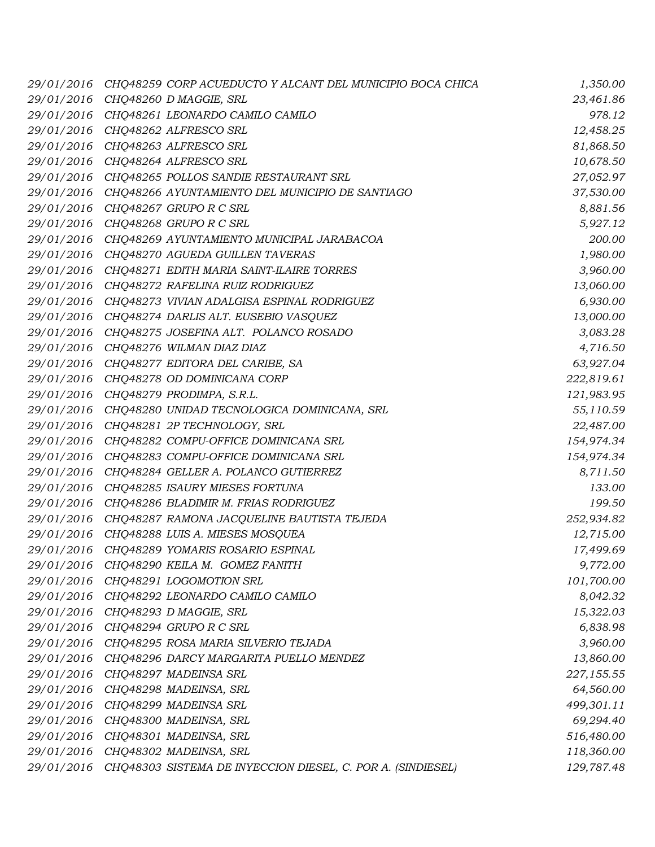| 29/01/2016 | CHQ48259 CORP ACUEDUCTO Y ALCANT DEL MUNICIPIO BOCA CHICA   | 1,350.00   |
|------------|-------------------------------------------------------------|------------|
| 29/01/2016 | CHQ48260 D MAGGIE, SRL                                      | 23,461.86  |
| 29/01/2016 | CHQ48261 LEONARDO CAMILO CAMILO                             | 978.12     |
| 29/01/2016 | CHQ48262 ALFRESCO SRL                                       | 12,458.25  |
| 29/01/2016 | CHQ48263 ALFRESCO SRL                                       | 81,868.50  |
| 29/01/2016 | CHQ48264 ALFRESCO SRL                                       | 10,678.50  |
| 29/01/2016 | CHQ48265 POLLOS SANDIE RESTAURANT SRL                       | 27,052.97  |
| 29/01/2016 | CHQ48266 AYUNTAMIENTO DEL MUNICIPIO DE SANTIAGO             | 37,530.00  |
| 29/01/2016 | CHQ48267 GRUPO R C SRL                                      | 8,881.56   |
| 29/01/2016 | CHQ48268 GRUPO R C SRL                                      | 5,927.12   |
| 29/01/2016 | CHQ48269 AYUNTAMIENTO MUNICIPAL JARABACOA                   | 200.00     |
| 29/01/2016 | CHQ48270 AGUEDA GUILLEN TAVERAS                             | 1,980.00   |
| 29/01/2016 | CHQ48271 EDITH MARIA SAINT-ILAIRE TORRES                    | 3,960.00   |
| 29/01/2016 | CHQ48272 RAFELINA RUIZ RODRIGUEZ                            | 13,060.00  |
| 29/01/2016 | CHQ48273 VIVIAN ADALGISA ESPINAL RODRIGUEZ                  | 6,930.00   |
| 29/01/2016 | CHQ48274 DARLIS ALT. EUSEBIO VASQUEZ                        | 13,000.00  |
| 29/01/2016 | CHQ48275 JOSEFINA ALT. POLANCO ROSADO                       | 3,083.28   |
| 29/01/2016 | CHQ48276 WILMAN DIAZ DIAZ                                   | 4,716.50   |
| 29/01/2016 | CHQ48277 EDITORA DEL CARIBE, SA                             | 63,927.04  |
| 29/01/2016 | CHQ48278 OD DOMINICANA CORP                                 | 222,819.61 |
| 29/01/2016 | CHQ48279 PRODIMPA, S.R.L.                                   | 121,983.95 |
| 29/01/2016 | CHQ48280 UNIDAD TECNOLOGICA DOMINICANA, SRL                 | 55,110.59  |
| 29/01/2016 | CHQ48281 2P TECHNOLOGY, SRL                                 | 22,487.00  |
| 29/01/2016 | CHQ48282 COMPU-OFFICE DOMINICANA SRL                        | 154,974.34 |
| 29/01/2016 | CHQ48283 COMPU-OFFICE DOMINICANA SRL                        | 154,974.34 |
| 29/01/2016 | CHQ48284 GELLER A. POLANCO GUTIERREZ                        | 8,711.50   |
| 29/01/2016 | CHQ48285 ISAURY MIESES FORTUNA                              | 133.00     |
| 29/01/2016 | CHQ48286 BLADIMIR M. FRIAS RODRIGUEZ                        | 199.50     |
| 29/01/2016 | CHQ48287 RAMONA JACQUELINE BAUTISTA TEJEDA                  | 252,934.82 |
| 29/01/2016 | CHQ48288 LUIS A. MIESES MOSQUEA                             | 12,715.00  |
| 29/01/2016 | CHQ48289 YOMARIS ROSARIO ESPINAL                            | 17,499.69  |
| 29/01/2016 | CHQ48290 KEILA M. GOMEZ FANITH                              | 9,772.00   |
| 29/01/2016 | CHQ48291 LOGOMOTION SRL                                     | 101,700.00 |
| 29/01/2016 | CHQ48292 LEONARDO CAMILO CAMILO                             | 8,042.32   |
| 29/01/2016 | CHQ48293 D MAGGIE, SRL                                      | 15,322.03  |
| 29/01/2016 | CHQ48294 GRUPO R C SRL                                      | 6,838.98   |
| 29/01/2016 | CHQ48295 ROSA MARIA SILVERIO TEJADA                         | 3,960.00   |
| 29/01/2016 | CHQ48296 DARCY MARGARITA PUELLO MENDEZ                      | 13,860.00  |
| 29/01/2016 | CHQ48297 MADEINSA SRL                                       | 227,155.55 |
| 29/01/2016 | CHQ48298 MADEINSA, SRL                                      | 64,560.00  |
| 29/01/2016 | CHQ48299 MADEINSA SRL                                       | 499,301.11 |
| 29/01/2016 | CHQ48300 MADEINSA, SRL                                      | 69,294.40  |
| 29/01/2016 | CHQ48301 MADEINSA, SRL                                      | 516,480.00 |
| 29/01/2016 | CHQ48302 MADEINSA, SRL                                      | 118,360.00 |
| 29/01/2016 | CHQ48303 SISTEMA DE INYECCION DIESEL, C. POR A. (SINDIESEL) | 129,787.48 |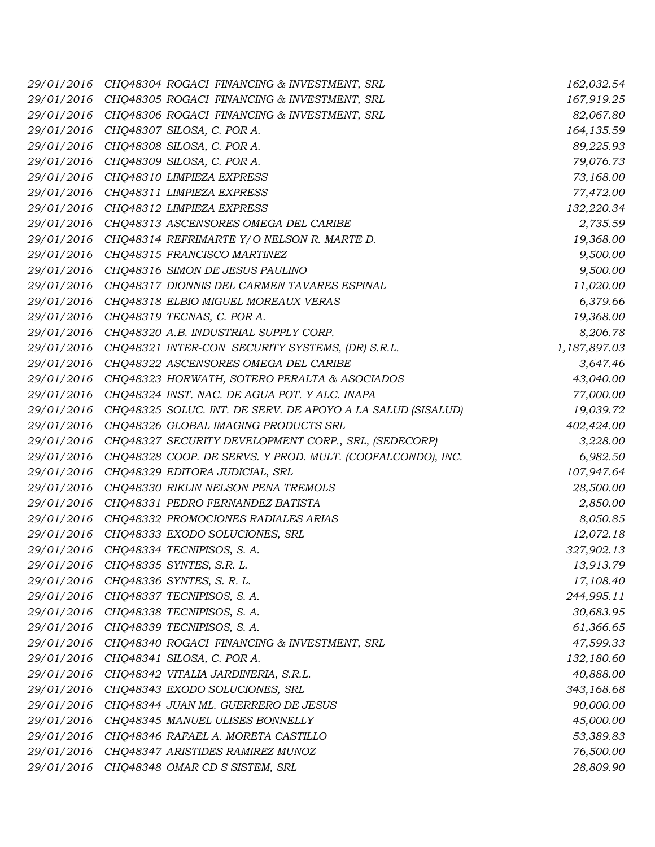| 29/01/2016 | CHQ48304 ROGACI FINANCING & INVESTMENT, SRL                 | 162,032.54   |
|------------|-------------------------------------------------------------|--------------|
| 29/01/2016 | CHQ48305 ROGACI FINANCING & INVESTMENT, SRL                 | 167,919.25   |
| 29/01/2016 | CHQ48306 ROGACI FINANCING & INVESTMENT, SRL                 | 82,067.80    |
| 29/01/2016 | CHQ48307 SILOSA, C. POR A.                                  | 164, 135.59  |
| 29/01/2016 | CHQ48308 SILOSA, C. POR A.                                  | 89,225.93    |
| 29/01/2016 | CHQ48309 SILOSA, C. POR A.                                  | 79,076.73    |
| 29/01/2016 | CHQ48310 LIMPIEZA EXPRESS                                   | 73,168.00    |
| 29/01/2016 | CHQ48311 LIMPIEZA EXPRESS                                   | 77,472.00    |
| 29/01/2016 | CHQ48312 LIMPIEZA EXPRESS                                   | 132,220.34   |
| 29/01/2016 | CHQ48313 ASCENSORES OMEGA DEL CARIBE                        | 2,735.59     |
| 29/01/2016 | CHQ48314 REFRIMARTE Y/O NELSON R. MARTE D.                  | 19,368.00    |
| 29/01/2016 | CHQ48315 FRANCISCO MARTINEZ                                 | 9,500.00     |
| 29/01/2016 | CHQ48316 SIMON DE JESUS PAULINO                             | 9,500.00     |
| 29/01/2016 | CHQ48317 DIONNIS DEL CARMEN TAVARES ESPINAL                 | 11,020.00    |
| 29/01/2016 | CHQ48318 ELBIO MIGUEL MOREAUX VERAS                         | 6,379.66     |
| 29/01/2016 | CHQ48319 TECNAS, C. POR A.                                  | 19,368.00    |
| 29/01/2016 | CHQ48320 A.B. INDUSTRIAL SUPPLY CORP.                       | 8,206.78     |
| 29/01/2016 | CHQ48321 INTER-CON SECURITY SYSTEMS, (DR) S.R.L.            | 1,187,897.03 |
| 29/01/2016 | CHQ48322 ASCENSORES OMEGA DEL CARIBE                        | 3,647.46     |
| 29/01/2016 | CHQ48323 HORWATH, SOTERO PERALTA & ASOCIADOS                | 43,040.00    |
| 29/01/2016 | CHQ48324 INST. NAC. DE AGUA POT. Y ALC. INAPA               | 77,000.00    |
| 29/01/2016 | CHQ48325 SOLUC. INT. DE SERV. DE APOYO A LA SALUD (SISALUD) | 19,039.72    |
| 29/01/2016 | CHQ48326 GLOBAL IMAGING PRODUCTS SRL                        | 402,424.00   |
| 29/01/2016 | CHQ48327 SECURITY DEVELOPMENT CORP., SRL, (SEDECORP)        | 3,228.00     |
| 29/01/2016 | CHQ48328 COOP. DE SERVS. Y PROD. MULT. (COOFALCONDO), INC.  | 6,982.50     |
| 29/01/2016 | CHQ48329 EDITORA JUDICIAL, SRL                              | 107,947.64   |
| 29/01/2016 | CHQ48330 RIKLIN NELSON PENA TREMOLS                         | 28,500.00    |
| 29/01/2016 | CHQ48331 PEDRO FERNANDEZ BATISTA                            | 2,850.00     |
| 29/01/2016 | CHQ48332 PROMOCIONES RADIALES ARIAS                         | 8,050.85     |
| 29/01/2016 | CHQ48333 EXODO SOLUCIONES, SRL                              | 12,072.18    |
| 29/01/2016 | CHQ48334 TECNIPISOS, S. A.                                  | 327,902.13   |
| 29/01/2016 | CHQ48335 SYNTES, S.R. L.                                    | 13,913.79    |
| 29/01/2016 | CHQ48336 SYNTES, S. R. L.                                   | 17,108.40    |
| 29/01/2016 | CHQ48337 TECNIPISOS, S. A.                                  | 244,995.11   |
| 29/01/2016 | CHQ48338 TECNIPISOS, S. A.                                  | 30,683.95    |
| 29/01/2016 | CHQ48339 TECNIPISOS, S. A.                                  | 61,366.65    |
| 29/01/2016 | CHQ48340 ROGACI FINANCING & INVESTMENT, SRL                 | 47,599.33    |
| 29/01/2016 | CHQ48341 SILOSA, C. POR A.                                  | 132,180.60   |
| 29/01/2016 | CHQ48342 VITALIA JARDINERIA, S.R.L.                         | 40,888.00    |
| 29/01/2016 | CHQ48343 EXODO SOLUCIONES, SRL                              | 343,168.68   |
| 29/01/2016 | CHQ48344 JUAN ML. GUERRERO DE JESUS                         | 90,000.00    |
| 29/01/2016 | CHQ48345 MANUEL ULISES BONNELLY                             | 45,000.00    |
| 29/01/2016 | CHQ48346 RAFAEL A. MORETA CASTILLO                          | 53,389.83    |
| 29/01/2016 | CHQ48347 ARISTIDES RAMIREZ MUNOZ                            | 76,500.00    |
| 29/01/2016 | CHQ48348 OMAR CD S SISTEM, SRL                              | 28,809.90    |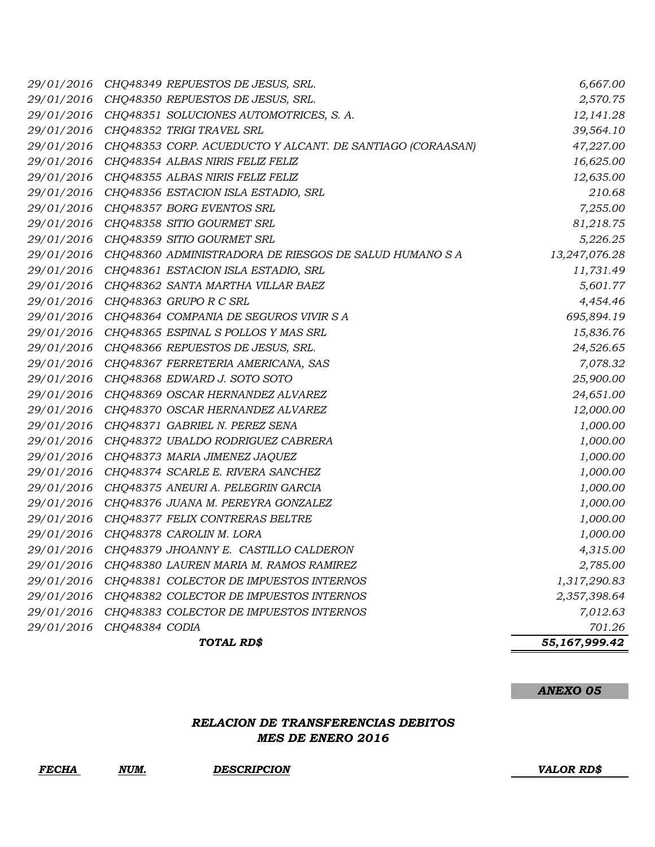| 29/01/2016 | CHQ48349 REPUESTOS DE JESUS, SRL.                         | 6,667.00      |
|------------|-----------------------------------------------------------|---------------|
| 29/01/2016 | CHQ48350 REPUESTOS DE JESUS, SRL.                         | 2,570.75      |
| 29/01/2016 | CHQ48351 SOLUCIONES AUTOMOTRICES, S. A.                   | 12,141.28     |
| 29/01/2016 | CHQ48352 TRIGI TRAVEL SRL                                 | 39,564.10     |
| 29/01/2016 | CHQ48353 CORP. ACUEDUCTO Y ALCANT. DE SANTIAGO (CORAASAN) | 47,227.00     |
| 29/01/2016 | CHQ48354 ALBAS NIRIS FELIZ FELIZ                          | 16,625.00     |
| 29/01/2016 | CHQ48355 ALBAS NIRIS FELIZ FELIZ                          | 12,635.00     |
| 29/01/2016 | CHQ48356 ESTACION ISLA ESTADIO, SRL                       | 210.68        |
| 29/01/2016 | CHQ48357 BORG EVENTOS SRL                                 | 7,255.00      |
| 29/01/2016 | CHO48358 SITIO GOURMET SRL                                | 81,218.75     |
| 29/01/2016 | CHQ48359 SITIO GOURMET SRL                                | 5,226.25      |
| 29/01/2016 | CHQ48360 ADMINISTRADORA DE RIESGOS DE SALUD HUMANO S A    | 13,247,076.28 |
| 29/01/2016 | CHQ48361 ESTACION ISLA ESTADIO, SRL                       | 11,731.49     |
| 29/01/2016 | CHQ48362 SANTA MARTHA VILLAR BAEZ                         | 5,601.77      |
| 29/01/2016 | CHQ48363 GRUPO R C SRL                                    | 4,454.46      |
| 29/01/2016 | CHQ48364 COMPANIA DE SEGUROS VIVIR SA                     | 695,894.19    |
| 29/01/2016 | CHQ48365 ESPINAL S POLLOS Y MAS SRL                       | 15,836.76     |
| 29/01/2016 | CHQ48366 REPUESTOS DE JESUS, SRL.                         | 24,526.65     |
| 29/01/2016 | CHQ48367 FERRETERIA AMERICANA, SAS                        | 7,078.32      |
| 29/01/2016 | CHQ48368 EDWARD J. SOTO SOTO                              | 25,900.00     |
| 29/01/2016 | CHQ48369 OSCAR HERNANDEZ ALVAREZ                          | 24,651.00     |
| 29/01/2016 | CHQ48370 OSCAR HERNANDEZ ALVAREZ                          | 12,000.00     |
| 29/01/2016 | CHQ48371 GABRIEL N. PEREZ SENA                            | 1,000.00      |
| 29/01/2016 | CHQ48372 UBALDO RODRIGUEZ CABRERA                         | 1,000.00      |
| 29/01/2016 | CHQ48373 MARIA JIMENEZ JAQUEZ                             | 1,000.00      |
| 29/01/2016 | CHQ48374 SCARLE E. RIVERA SANCHEZ                         | 1,000.00      |
| 29/01/2016 | CHQ48375 ANEURI A. PELEGRIN GARCIA                        | 1,000.00      |
| 29/01/2016 | CHQ48376 JUANA M. PEREYRA GONZALEZ                        | 1,000.00      |
| 29/01/2016 | CHQ48377 FELIX CONTRERAS BELTRE                           | 1,000.00      |
| 29/01/2016 | CHQ48378 CAROLIN M. LORA                                  | 1,000.00      |
| 29/01/2016 | CHQ48379 JHOANNY E. CASTILLO CALDERON                     | 4,315.00      |
| 29/01/2016 | CHQ48380 LAUREN MARIA M. RAMOS RAMIREZ                    | 2,785.00      |
| 29/01/2016 | CHQ48381 COLECTOR DE IMPUESTOS INTERNOS                   | 1,317,290.83  |
| 29/01/2016 | CHQ48382 COLECTOR DE IMPUESTOS INTERNOS                   | 2,357,398.64  |
| 29/01/2016 | CHQ48383 COLECTOR DE IMPUESTOS INTERNOS                   | 7,012.63      |
| 29/01/2016 | CHQ48384 CODIA                                            | 701.26        |
|            | TOTAL RD\$                                                | 55,167,999.42 |

# *RELACION DE TRANSFERENCIAS DEBITOS MES DE ENERO 2016*

*FECHA NUM. DESCRIPCION VALOR RD\$*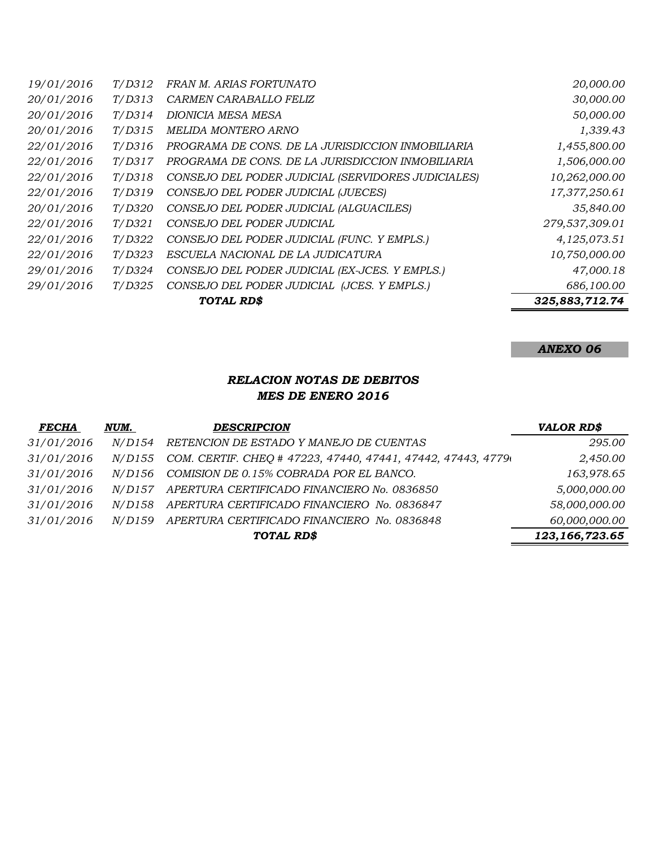|            |                | <b>TOTAL RD\$</b>                                  | 325,883,712.74 |
|------------|----------------|----------------------------------------------------|----------------|
| 29/01/2016 | T/D325         | CONSEJO DEL PODER JUDICIAL (JCES. Y EMPLS.)        | 686,100.00     |
| 29/01/2016 | T/D324         | CONSEJO DEL PODER JUDICIAL (EX-JCES. Y EMPLS.)     | 47,000.18      |
| 22/01/2016 | T/D323         | ESCUELA NACIONAL DE LA JUDICATURA                  | 10,750,000.00  |
| 22/01/2016 | T/D322         | CONSEJO DEL PODER JUDICIAL (FUNC. Y EMPLS.)        | 4,125,073.51   |
| 22/01/2016 | T/D321         | CONSEJO DEL PODER JUDICIAL                         | 279,537,309.01 |
| 20/01/2016 | <i>T</i> /D320 | CONSEJO DEL PODER JUDICIAL (ALGUACILES)            | 35,840.00      |
| 22/01/2016 | T/D319         | CONSEJO DEL PODER JUDICIAL (JUECES)                | 17,377,250.61  |
| 22/01/2016 | T/D318         | CONSEJO DEL PODER JUDICIAL (SERVIDORES JUDICIALES) | 10,262,000.00  |
| 22/01/2016 | T/D317         | PROGRAMA DE CONS. DE LA JURISDICCION INMOBILIARIA  | 1,506,000.00   |
| 22/01/2016 | T/D316         | PROGRAMA DE CONS. DE LA JURISDICCION INMOBILIARIA  | 1,455,800.00   |
| 20/01/2016 | T/D315         | MELIDA MONTERO ARNO                                | 1,339.43       |
| 20/01/2016 | T/D314         | DIONICIA MESA MESA                                 | 50,000.00      |
| 20/01/2016 | T/D313         | CARMEN CARABALLO FELIZ                             | 30,000.00      |
| 19/01/2016 | T/D312         | FRAN M. ARIAS FORTUNATO                            | 20,000.00      |

### *RELACION NOTAS DE DEBITOS MES DE ENERO 2016*

| <b>FECHA</b> | NUM.          | <b>DESCRIPCION</b>                                           | <b>VALOR RD\$</b> |
|--------------|---------------|--------------------------------------------------------------|-------------------|
| 31/01/2016   | <i>N/D154</i> | RETENCION DE ESTADO Y MANEJO DE CUENTAS                      | 295.00            |
| 31/01/2016   | <i>N/D155</i> | COM. CERTIF. CHEQ # 47223, 47440, 47441, 47442, 47443, 47790 | 2,450.00          |
| 31/01/2016   | N/D156        | COMISION DE 0.15% COBRADA POR EL BANCO.                      | 163,978.65        |
| 31/01/2016   | <i>N/D157</i> | APERTURA CERTIFICADO FINANCIERO No. 0836850                  | 5,000,000.00      |
| 31/01/2016   | N/D158        | APERTURA CERTIFICADO FINANCIERO No. 0836847                  | 58,000,000.00     |
| 31/01/2016   | <i>N/D159</i> | APERTURA CERTIFICADO FINANCIERO No. 0836848                  | 60,000,000.00     |
|              |               | TOTAL RD\$                                                   | 123, 166, 723.65  |